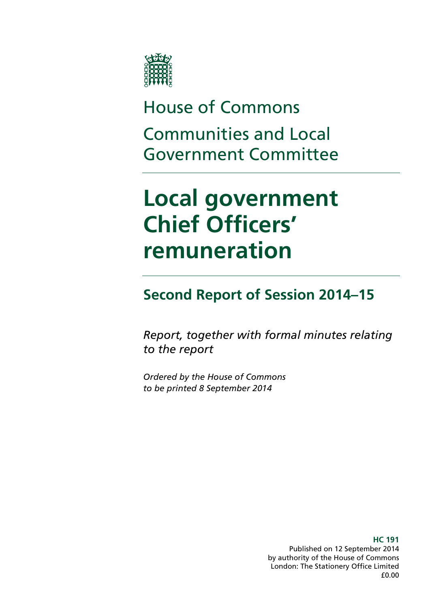

# House of Commons Communities and Local Government Committee

# **Local government Chief Officers' remuneration**

### **Second Report of Session 2014–15**

*Report, together with formal minutes relating to the report*

*Ordered by the House of Commons to be printed 8 September 2014*

> **HC 191**  Published on 12 September 2014 by authority of the House of Commons London: The Stationery Office Limited £0.00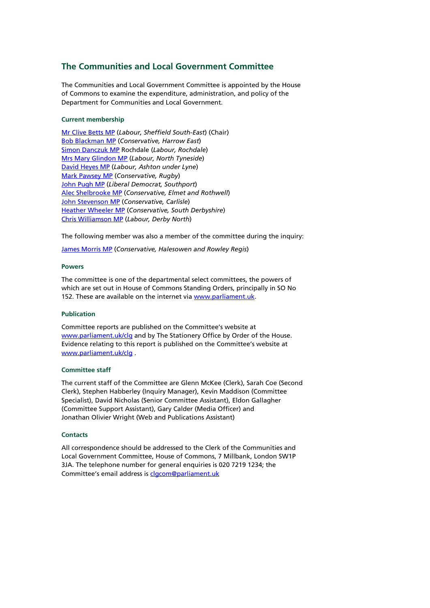### **The Communities and Local Government Committee**

The Communities and Local Government Committee is appointed by the House of Commons to examine the expenditure, administration, and policy of the Department for Communities and Local Government.

#### **Current membership**

[Mr Clive Betts MP](http://www.parliament.uk/biographies/commons/mr-clive-betts/394) (*Labour, Sheffield South-East*) (Chair) [Bob Blackman MP](http://www.parliament.uk/biographies/commons/bob-blackman/4005) (*Conservative, Harrow East*) Simon [Danczuk MP](http://www.parliament.uk/biographies/commons/simon-danczuk/4059) Rochdale (*Labour, Rochdale*) [Mrs Mary Glindon MP](http://www.parliament.uk/biographies/commons/mrs-mary-glindon/4126) (*Labour, North Tyneside*) [David Heyes MP](http://www.parliament.uk/biographies/commons/david-heyes/1386) (*Labour, Ashton under Lyne*) [Mark Pawsey MP](http://www.parliament.uk/biographies/commons/mark-pawsey/4052) (*Conservative, Rugby*) [John Pugh MP](http://www.parliament.uk/biographies/commons/john-pugh/1454) (*Liberal Democrat, Southport*) Alec [Shelbrooke MP](http://www.parliament.uk/biographies/commons/alec-shelbrooke/3997) (*Conservative, Elmet and Rothwell*) [John Stevenson MP](http://www.parliament.uk/biographies/commons/john-stevenson/3942) (*Conservative, Carlisle*) [Heather Wheeler MP](http://www.parliament.uk/biographies/commons/heather-wheeler/4053) (*Conservative, South Derbyshire*) [Chris Williamson MP](http://www.parliament.uk/biographies/commons/chris-williamson/3976) (*Labour, Derby North*)

The following member was also a member of the committee during the inquiry:

[James Morris MP](http://www.parliament.uk/biographies/commons/james-morris/3992) (*Conservative, Halesowen and Rowley Regis*)

#### **Powers**

The committee is one of the departmental select committees, the powers of which are set out in House of Commons Standing Orders, principally in SO No 152. These are available on the internet vi[a www.parliament.uk.](http://www.parliament.uk/)

#### **Publication**

Committee reports are published on the Committee's website at [www.parliament.uk/clg](http://www.parliament.uk/clg) and by The Stationery Office by Order of the House. Evidence relating to this report is published on the Committee's website at [www.parliament.uk/clg](http://www.parliament.uk/clg) .

#### **Committee staff**

The current staff of the Committee are Glenn McKee (Clerk), Sarah Coe (Second Clerk), Stephen Habberley (Inquiry Manager), Kevin Maddison (Committee Specialist), David Nicholas (Senior Committee Assistant), Eldon Gallagher (Committee Support Assistant), Gary Calder (Media Officer) and Jonathan Olivier Wright (Web and Publications Assistant)

#### **Contacts**

All correspondence should be addressed to the Clerk of the Communities and Local Government Committee, House of Commons, 7 Millbank, London SW1P 3JA. The telephone number for general enquiries is 020 7219 1234; the Committee's email address is [clgcom@parliament.uk](mailto:clgcom@parliament.uk)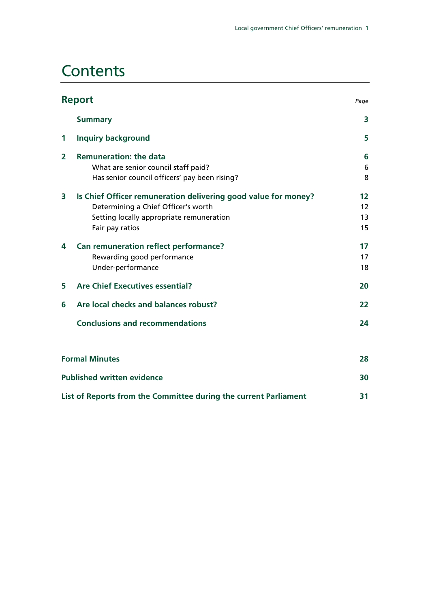## **Contents**

|                | <b>Report</b>                                                                                                                                                        | Page                 |
|----------------|----------------------------------------------------------------------------------------------------------------------------------------------------------------------|----------------------|
|                | <b>Summary</b>                                                                                                                                                       | 3                    |
| 1              | <b>Inquiry background</b>                                                                                                                                            | 5                    |
| $\overline{2}$ | <b>Remuneration: the data</b><br>What are senior council staff paid?<br>Has senior council officers' pay been rising?                                                | 6<br>6<br>8          |
| 3              | Is Chief Officer remuneration delivering good value for money?<br>Determining a Chief Officer's worth<br>Setting locally appropriate remuneration<br>Fair pay ratios | 12<br>12<br>13<br>15 |
| 4              | Can remuneration reflect performance?<br>Rewarding good performance<br>Under-performance                                                                             | 17<br>17<br>18       |
| 5              | <b>Are Chief Executives essential?</b>                                                                                                                               | 20                   |
| 6              | Are local checks and balances robust?                                                                                                                                | 22                   |
|                | <b>Conclusions and recommendations</b>                                                                                                                               | 24                   |
|                | <b>Formal Minutes</b>                                                                                                                                                | 28                   |
|                | <b>Published written evidence</b>                                                                                                                                    | 30                   |
|                | List of Reports from the Committee during the current Parliament                                                                                                     | 31                   |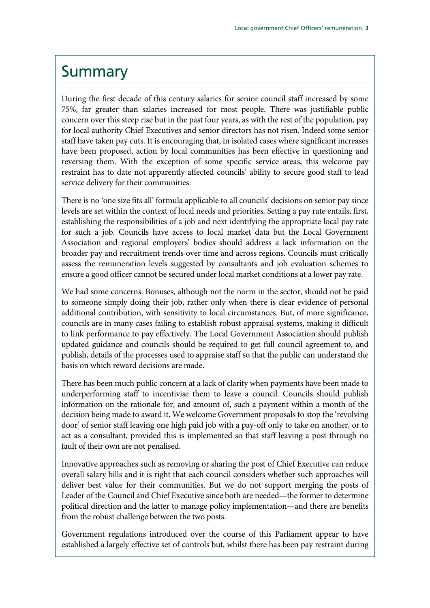### Summary

During the first decade of this century salaries for senior council staff increased by some 75%, far greater than salaries increased for most people. There was justifiable public concern over this steep rise but in the past four years, as with the rest of the population, pay for local authority Chief Executives and senior directors has not risen. Indeed some senior staff have taken pay cuts. It is encouraging that, in isolated cases where significant increases have been proposed, action by local communities has been effective in questioning and reversing them. With the exception of some specific service areas, this welcome pay restraint has to date not apparently affected councils' ability to secure good staff to lead service delivery for their communities.

There is no 'one size fits all' formula applicable to all councils' decisions on senior pay since levels are set within the context of local needs and priorities. Setting a pay rate entails, first, establishing the responsibilities of a job and next identifying the appropriate local pay rate for such a job. Councils have access to local market data but the Local Government Association and regional employers' bodies should address a lack information on the broader pay and recruitment trends over time and across regions. Councils must critically assess the remuneration levels suggested by consultants and job evaluation schemes to ensure a good officer cannot be secured under local market conditions at a lower pay rate.

We had some concerns. Bonuses, although not the norm in the sector, should not be paid to someone simply doing their job, rather only when there is clear evidence of personal additional contribution, with sensitivity to local circumstances. But, of more significance, councils are in many cases failing to establish robust appraisal systems, making it difficult to link performance to pay effectively. The Local Government Association should publish updated guidance and councils should be required to get full council agreement to, and publish, details of the processes used to appraise staff so that the public can understand the basis on which reward decisions are made.

There has been much public concern at a lack of clarity when payments have been made to underperforming staff to incentivise them to leave a council. Councils should publish information on the rationale for, and amount of, such a payment within a month of the decision being made to award it. We welcome Government proposals to stop the 'revolving door' of senior staff leaving one high paid job with a pay-off only to take on another, or to act as a consultant, provided this is implemented so that staff leaving a post through no fault of their own are not penalised.

Innovative approaches such as removing or sharing the post of Chief Executive can reduce overall salary bills and it is right that each council considers whether such approaches will deliver best value for their communities. But we do not support merging the posts of Leader of the Council and Chief Executive since both are needed—the former to determine political direction and the latter to manage policy implementation—and there are benefits from the robust challenge between the two posts.

Government regulations introduced over the course of this Parliament appear to have established a largely effective set of controls but, whilst there has been pay restraint during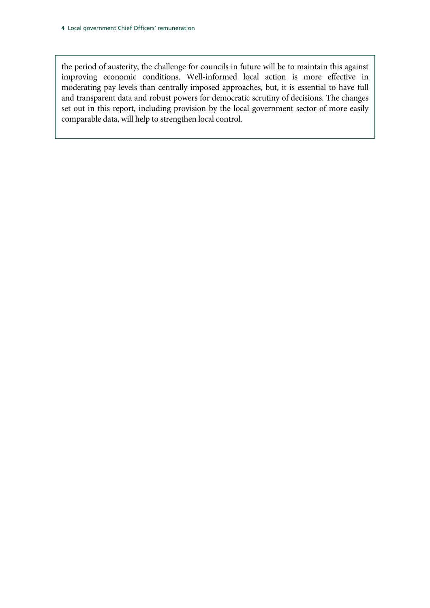the period of austerity, the challenge for councils in future will be to maintain this against improving economic conditions. Well-informed local action is more effective in moderating pay levels than centrally imposed approaches, but, it is essential to have full and transparent data and robust powers for democratic scrutiny of decisions. The changes set out in this report, including provision by the local government sector of more easily comparable data, will help to strengthen local control.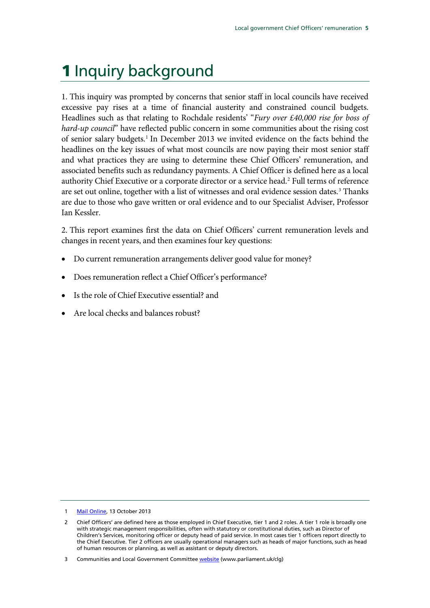## 1 Inquiry background

1. This inquiry was prompted by concerns that senior staff in local councils have received excessive pay rises at a time of financial austerity and constrained council budgets. Headlines such as that relating to Rochdale residents' "*Fury over £40,000 rise for boss of hard-up council*" have reflected public concern in some communities about the rising cost of senior salary budgets.[1](#page-5-0) In December 2013 we invited evidence on the facts behind the headlines on the key issues of what most councils are now paying their most senior staff and what practices they are using to determine these Chief Officers' remuneration, and associated benefits such as redundancy payments. A Chief Officer is defined here as a local authority Chief Executive or a corporate director or a service head.<sup>[2](#page-5-1)</sup> Full terms of reference are set out online, together with a list of witnesses and oral evidence session dates.<sup>[3](#page-5-2)</sup> Thanks are due to those who gave written or oral evidence and to our Specialist Adviser, Professor Ian Kessler.

<span id="page-5-3"></span>2. This report examines first the data on Chief Officers' current remuneration levels and changes in recent years, and then examines four key questions:

- Do current remuneration arrangements deliver good value for money?
- Does remuneration reflect a Chief Officer's performance?
- Is the role of Chief Executive essential? and
- Are local checks and balances robust?

<span id="page-5-0"></span>1 [Mail Online,](http://www.dailymail.co.uk/news/article-2458298/Fury-40k-rise-chief-executive-Rochdale-council.html) 13 October 2013

<span id="page-5-1"></span><sup>2</sup> Chief Officers' are defined here as those employed in Chief Executive, tier 1 and 2 roles. A tier 1 role is broadly one with strategic management responsibilities, often with statutory or constitutional duties, such as Director of Children's Services, monitoring officer or deputy head of paid service. In most cases tier 1 officers report directly to the Chief Executive. Tier 2 officers are usually operational managers such as heads of major functions, such as head of human resources or planning, as well as assistant or deputy directors.

<span id="page-5-2"></span><sup>3</sup> Communities and Local Government Committe[e website](http://www.parliament.uk/clg) (www.parliament.uk/clg)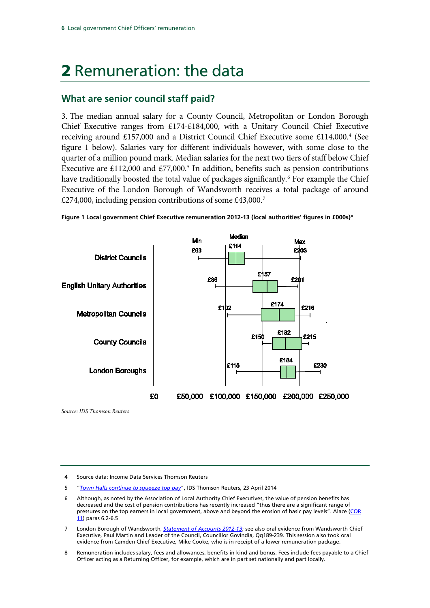## 2 Remuneration: the data

### **What are senior council staff paid?**

3. The median annual salary for a County Council, Metropolitan or London Borough Chief Executive ranges from £174-£184,000, with a Unitary Council Chief Executive receiving around £157,000 and a District Council Chief Executive some £11[4](#page-6-0),000.<sup>4</sup> (See figure 1 below). Salaries vary for different individuals however, with some close to the quarter of a million pound mark. Median salaries for the next two tiers of staff below Chief Executive are £112,000 and £77,000.<sup>[5](#page-6-1)</sup> In addition, benefits such as pension contributions have traditionally boosted the total value of packages significantly.<sup>[6](#page-6-2)</sup> For example the Chief Executive of the London Borough of Wandsworth receives a total package of around  $\text{\pounds}274,000$  $\text{\pounds}274,000$  $\text{\pounds}274,000$ , including pension contributions of some  $\text{\pounds}43,000$ .<sup>7</sup>



**Figure 1 Local government Chief Executive remuneration 2012-13 (local authorities' figures in £000s)[8](#page-6-4)**

*Source: IDS Thomson Reuters*

<span id="page-6-0"></span>4 Source data: Income Data Services Thomson Reuters

- <span id="page-6-1"></span>5 "*[Town Halls continue to squeeze top pay](https://ids.thomsonreuters.com/executive-compensation/features-analysis/town-halls-continue-squeeze-top-pay)*", IDS Thomson Reuters, 23 April 2014
- <span id="page-6-2"></span>6 Although, as noted by the Association of Local Authority Chief Executives, the value of pension benefits has decreased and the cost of pension contributions has recently increased "thus there are a significant range of pressures on the top earners in local government, above and beyond the erosion of basic pay levels". Alace (COR [11\)](http://data.parliament.uk/writtenevidence/committeeevidence.svc/evidencedocument/communities-and-local-government-committee/local-government-chief-officers-remuneration/written/5660.html) paras 6.2-6.5
- <span id="page-6-3"></span>7 London Borough of Wandsworth, *[Statement of Accounts 2012-13](http://www.wandsworth.gov.uk/downloads/file/8727/statement_of_accounts_-_201213)*; see also oral evidence from Wandsworth Chief Executive, Paul Martin and Leader of the Council, Councillor Govindia, Qq189-239. This session also took oral evidence from Camden Chief Executive, Mike Cooke, who is in receipt of a lower remuneration package.
- <span id="page-6-4"></span>8 Remuneration includes salary, fees and allowances, benefits-in-kind and bonus. Fees include fees payable to a Chief Officer acting as a Returning Officer, for example, which are in part set nationally and part locally.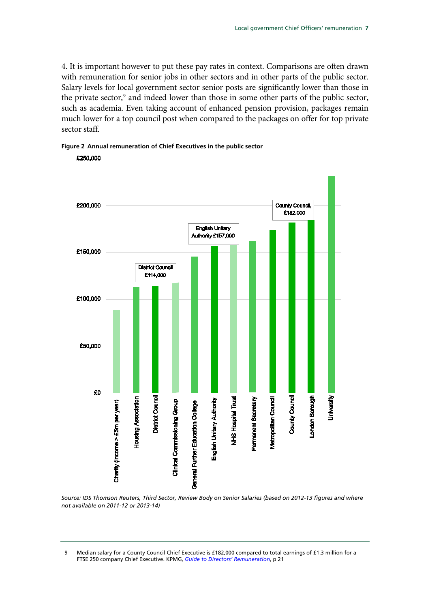4. It is important however to put these pay rates in context. Comparisons are often drawn with remuneration for senior jobs in other sectors and in other parts of the public sector. Salary levels for local government sector senior posts are significantly lower than those in the private sector,<sup>[9](#page-7-0)</sup> and indeed lower than those in some other parts of the public sector, such as academia. Even taking account of enhanced pension provision, packages remain much lower for a top council post when compared to the packages on offer for top private sector staff.



**Figure 2 Annual remuneration of Chief Executives in the public sector**

*Source: IDS Thomson Reuters, Third Sector, Review Body on Senior Salaries (based on 2012-13 figures and where not available on 2011-12 or 2013-14)*

<span id="page-7-0"></span>9 Median salary for a County Council Chief Executive is £182,000 compared to total earnings of £1.3 million for a FTSE 250 company Chief Executive. KPMG, *[Guide to Directors' Remuneration](http://www.kpmg.com/UK/en/IssuesAndInsights/ArticlesPublications/Documents/PDF/Tax/guide-directors-remuneration-2013.pdf)*, p 21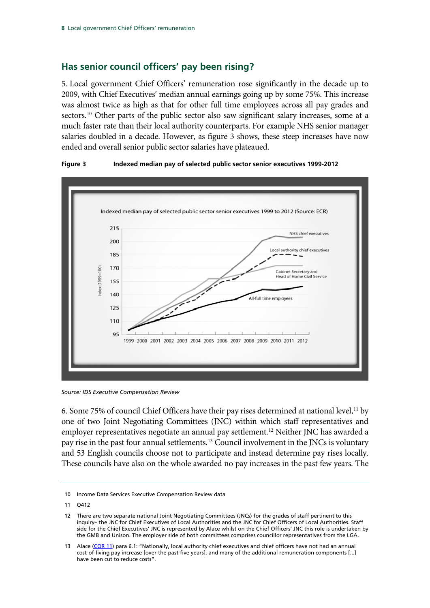### **Has senior council officers' pay been rising?**

5. Local government Chief Officers' remuneration rose significantly in the decade up to 2009, with Chief Executives' median annual earnings going up by some 75%. This increase was almost twice as high as that for other full time employees across all pay grades and sectors.<sup>[10](#page-8-0)</sup> Other parts of the public sector also saw significant salary increases, some at a much faster rate than their local authority counterparts. For example NHS senior manager salaries doubled in a decade. However, as figure 3 shows, these steep increases have now ended and overall senior public sector salaries have plateaued.



#### **Figure 3 Indexed median pay of selected public sector senior executives 1999-2012**

*Source: IDS Executive Compensation Review*

6. Some 75% of council Chief Officers have their pay rises determined at national level,<sup>[11](#page-8-1)</sup> by one of two Joint Negotiating Committees (JNC) within which staff representatives and employer representatives negotiate an annual pay settlement.<sup>[12](#page-8-2)</sup> Neither JNC has awarded a pay rise in the past four annual settlements.[13](#page-8-3) Council involvement in the JNCs is voluntary and 53 English councils choose not to participate and instead determine pay rises locally. These councils have also on the whole awarded no pay increases in the past few years. The

<span id="page-8-0"></span><sup>10</sup> Income Data Services Executive Compensation Review data

<span id="page-8-1"></span><sup>11</sup> Q412

<span id="page-8-2"></span><sup>12</sup> There are two separate national Joint Negotiating Committees (JNCs) for the grades of staff pertinent to this inquiry– the JNC for Chief Executives of Local Authorities and the JNC for Chief Officers of Local Authorities. Staff side for the Chief Executives' JNC is represented by Alace whilst on the Chief Officers' JNC this role is undertaken by the GMB and Unison. The employer side of both committees comprises councillor representatives from the LGA.

<span id="page-8-3"></span><sup>13</sup> Alace [\(COR 11\)](http://data.parliament.uk/writtenevidence/committeeevidence.svc/evidencedocument/communities-and-local-government-committee/local-government-chief-officers-remuneration/written/5660.html) para 6.1: "Nationally, local authority chief executives and chief officers have not had an annual cost-of-living pay increase [over the past five years], and many of the additional remuneration components [...] have been cut to reduce costs".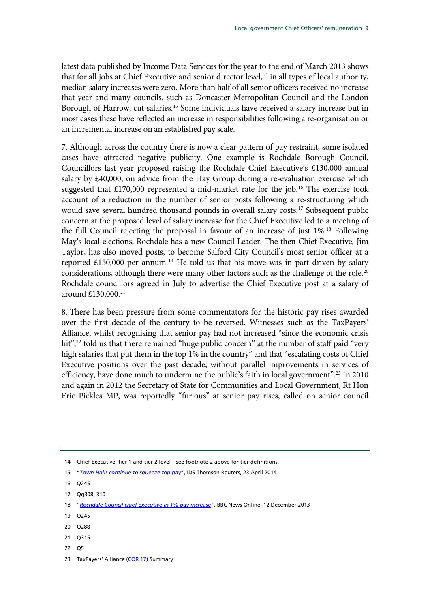latest data published by Income Data Services for the year to the end of March 2013 shows that for all jobs at Chief Executive and senior director level,<sup>[14](#page-9-0)</sup> in all types of local authority, median salary increases were zero. More than half of all senior officers received no increase that year and many councils, such as Doncaster Metropolitan Council and the London Borough of Harrow, cut salaries.<sup>[15](#page-9-1)</sup> Some individuals have received a salary increase but in most cases these have reflected an increase in responsibilities following a re-organisation or an incremental increase on an established pay scale.

7. Although across the country there is now a clear pattern of pay restraint, some isolated cases have attracted negative publicity. One example is Rochdale Borough Council. Councillors last year proposed raising the Rochdale Chief Executive's £130,000 annual salary by £40,000, on advice from the Hay Group during a re-evaluation exercise which suggested that  $£170,000$  represented a mid-market rate for the job.<sup>[16](#page-9-2)</sup> The exercise took account of a reduction in the number of senior posts following a re-structuring which would save several hundred thousand pounds in overall salary costs.<sup>[17](#page-9-3)</sup> Subsequent public concern at the proposed level of salary increase for the Chief Executive led to a meeting of the full Council rejecting the proposal in favour of an increase of just 1%.<sup>[18](#page-9-4)</sup> Following May's local elections, Rochdale has a new Council Leader. The then Chief Executive, Jim Taylor, has also moved posts, to become Salford City Council's most senior officer at a reported £150,000 per annum.<sup>[19](#page-9-5)</sup> He told us that his move was in part driven by salary considerations, although there were many other factors such as the challenge of the role.<sup>[20](#page-9-6)</sup> Rochdale councillors agreed in July to advertise the Chief Executive post at a salary of around £130,000.[21](#page-9-7)

8. There has been pressure from some commentators for the historic pay rises awarded over the first decade of the century to be reversed. Witnesses such as the TaxPayers' Alliance, whilst recognising that senior pay had not increased "since the economic crisis hit",<sup>[22](#page-9-8)</sup> told us that there remained "huge public concern" at the number of staff paid "very high salaries that put them in the top 1% in the country" and that "escalating costs of Chief Executive positions over the past decade, without parallel improvements in services of efficiency, have done much to undermine the public's faith in local government".<sup>[23](#page-9-9)</sup> In 2010 and again in 2012 the Secretary of State for Communities and Local Government, Rt Hon Eric Pickles MP, was reportedly "furious" at senior pay rises, called on senior council

- <span id="page-9-7"></span>21 Q315
- <span id="page-9-8"></span>22 Q5
- <span id="page-9-9"></span>23 TaxPayers' Alliance [\(COR 17\)](http://data.parliament.uk/writtenevidence/committeeevidence.svc/evidencedocument/communities-and-local-government-committee/local-government-chief-officers-remuneration/written/5752.html) Summary

<span id="page-9-0"></span><sup>14</sup> Chief Executive, tier 1 and tier 2 level—see footnot[e 2](#page-5-3) above for tier definitions.

<span id="page-9-1"></span><sup>15</sup> "*[Town Halls continue to squeeze top pay](https://ids.thomsonreuters.com/executive-compensation/features-analysis/town-halls-continue-squeeze-top-pay)*", IDS Thomson Reuters, 23 April 2014

<span id="page-9-2"></span><sup>16</sup> Q245

<span id="page-9-3"></span><sup>17</sup> Qq308, 310

<span id="page-9-4"></span><sup>18</sup> "*[Rochdale Council chief executive in 1% pay increase](http://www.bbc.co.uk/news/uk-england-manchester-25341842)*", BBC News Online, 12 December 2013

<span id="page-9-5"></span><sup>19</sup> Q245

<span id="page-9-6"></span><sup>20</sup> Q288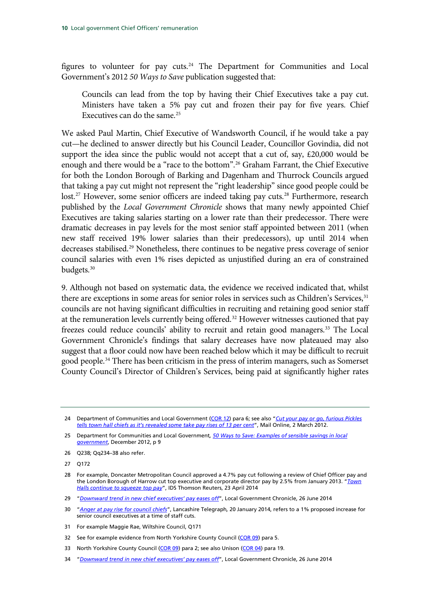figures to volunteer for pay cuts.<sup>[24](#page-10-0)</sup> The Department for Communities and Local Government's 2012 *50 Ways to Save* publication suggested that:

Councils can lead from the top by having their Chief Executives take a pay cut. Ministers have taken a 5% pay cut and frozen their pay for five years. Chief Executives can do the same. [25](#page-10-1)

We asked Paul Martin, Chief Executive of Wandsworth Council, if he would take a pay cut—he declined to answer directly but his Council Leader, Councillor Govindia, did not support the idea since the public would not accept that a cut of, say,  $\text{\pounds}20,000$  would be enough and there would be a "race to the bottom".[26](#page-10-2) Graham Farrant, the Chief Executive for both the London Borough of Barking and Dagenham and Thurrock Councils argued that taking a pay cut might not represent the "right leadership" since good people could be lost.<sup>[27](#page-10-3)</sup> However, some senior officers are indeed taking pay cuts.<sup>[28](#page-10-4)</sup> Furthermore, research published by the *Local Government Chronicle* shows that many newly appointed Chief Executives are taking salaries starting on a lower rate than their predecessor. There were dramatic decreases in pay levels for the most senior staff appointed between 2011 (when new staff received 19% lower salaries than their predecessors), up until 2014 when decreases stabilised. [29](#page-10-5) Nonetheless, there continues to be negative press coverage of senior council salaries with even 1% rises depicted as unjustified during an era of constrained budgets.[30](#page-10-6)

9. Although not based on systematic data, the evidence we received indicated that, whilst there are exceptions in some areas for senior roles in services such as Children's Services,<sup>[31](#page-10-7)</sup> councils are not having significant difficulties in recruiting and retaining good senior staff at the remuneration levels currently being offered.<sup>[32](#page-10-8)</sup> However witnesses cautioned that pay freezes could reduce councils' ability to recruit and retain good managers.<sup>[33](#page-10-9)</sup> The Local Government Chronicle's findings that salary decreases have now plateaued may also suggest that a floor could now have been reached below which it may be difficult to recruit good people.<sup>[34](#page-10-10)</sup> There has been criticism in the press of interim managers, such as Somerset County Council's Director of Children's Services, being paid at significantly higher rates

- <span id="page-10-2"></span>26 Q238; Qq234–38 also refer.
- <span id="page-10-3"></span>27 Q172

- <span id="page-10-6"></span>30 "*[Anger at pay rise for council chiefs](http://www.lancashiretelegraph.co.uk/news/10950061.Anger_at_pay_rise_for_council_chiefs/?ref=rc)*", Lancashire Telegraph*,* 20 January 2014, refers to a 1% proposed increase for senior council executives at a time of staff cuts.
- <span id="page-10-7"></span>31 For example Maggie Rae, Wiltshire Council, Q171
- <span id="page-10-8"></span>32 See for example evidence from North Yorkshire County Council [\(COR 09\)](http://data.parliament.uk/writtenevidence/committeeevidence.svc/evidencedocument/communities-and-local-government-committee/local-government-chief-officers-remuneration/written/5655.html) para 5.
- <span id="page-10-9"></span>33 North Yorkshire County Council [\(COR 09\)](http://data.parliament.uk/writtenevidence/committeeevidence.svc/evidencedocument/communities-and-local-government-committee/local-government-chief-officers-remuneration/written/5655.html) para 2; see also Unison [\(COR 04\)](http://data.parliament.uk/writtenevidence/committeeevidence.svc/evidencedocument/communities-and-local-government-committee/local-government-chief-officers-remuneration/written/5627.html) para 19.
- <span id="page-10-10"></span>34 "*[Downward trend in new chief executives' pay eases off](http://www.lgcplus.com/research/senior-pay/downward-trend-in-new-chiefs-pay-eases-off-lgc-study-reveals/5072171.article?referrer=RSS)*", Local Government Chronicle, 26 June 2014

<span id="page-10-0"></span><sup>24</sup> Department of Communities and Local Government [\(COR 12\)](http://data.parliament.uk/writtenevidence/committeeevidence.svc/evidencedocument/communities-and-local-government-committee/local-government-chief-officers-remuneration/written/5661.html) para 6; see also "*[Cut your pay or go, furious Pickles](http://www.dailymail.co.uk/news/article-2108971/Eric-Pickles-tells-town-hall-chiefs-accept-pay-cuts.html)  [tells town hall chiefs as it's revealed some take pay rises of 13 per cent](http://www.dailymail.co.uk/news/article-2108971/Eric-Pickles-tells-town-hall-chiefs-accept-pay-cuts.html)*", Mail Online, 2 March 2012.

<span id="page-10-1"></span><sup>25</sup> Department for Communities and Local Government*[, 50 Ways to Save: Examples of sensible savings in local](https://www.gov.uk/government/uploads/system/uploads/attachment_data/file/39264/50_ways_2.pdf)  [government](https://www.gov.uk/government/uploads/system/uploads/attachment_data/file/39264/50_ways_2.pdf)*, December 2012, p 9

<span id="page-10-4"></span><sup>28</sup> For example, Doncaster Metropolitan Council approved a 4.7% pay cut following a review of Chief Officer pay and the London Borough of Harrow cut top executive and corporate director pay by 2.5% from January 2013. "*[Town](https://ids.thomsonreuters.com/executive-compensation/features-analysis/town-halls-continue-squeeze-top-pay)  [Halls continue to squeeze top pay](https://ids.thomsonreuters.com/executive-compensation/features-analysis/town-halls-continue-squeeze-top-pay)*", IDS Thomson Reuters, 23 April 2014

<span id="page-10-5"></span><sup>29</sup> "*[Downward trend in new chief executives' pay eases off](http://www.lgcplus.com/research/senior-pay/downward-trend-in-new-chiefs-pay-eases-off-lgc-study-reveals/5072171.article?referrer=RSS)*", Local Government Chronicle, 26 June 2014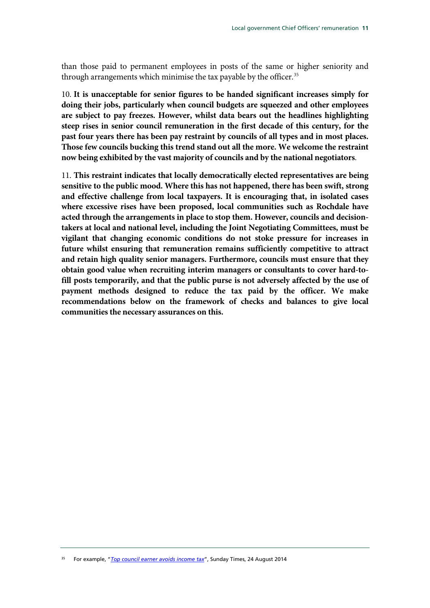than those paid to permanent employees in posts of the same or higher seniority and through arrangements which minimise the tax payable by the officer.<sup>[35](#page-11-0)</sup>

10. **It is unacceptable for senior figures to be handed significant increases simply for doing their jobs, particularly when council budgets are squeezed and other employees are subject to pay freezes. However, whilst data bears out the headlines highlighting steep rises in senior council remuneration in the first decade of this century, for the past four years there has been pay restraint by councils of all types and in most places. Those few councils bucking this trend stand out all the more. We welcome the restraint now being exhibited by the vast majority of councils and by the national negotiators**.

11. **This restraint indicates that locally democratically elected representatives are being sensitive to the public mood. Where this has not happened, there has been swift, strong and effective challenge from local taxpayers. It is encouraging that, in isolated cases where excessive rises have been proposed, local communities such as Rochdale have acted through the arrangements in place to stop them. However, councils and decisiontakers at local and national level, including the Joint Negotiating Committees, must be vigilant that changing economic conditions do not stoke pressure for increases in future whilst ensuring that remuneration remains sufficiently competitive to attract and retain high quality senior managers. Furthermore, councils must ensure that they obtain good value when recruiting interim managers or consultants to cover hard-tofill posts temporarily, and that the public purse is not adversely affected by the use of payment methods designed to reduce the tax paid by the officer. We make recommendations below on the framework of checks and balances to give local communities the necessary assurances on this.**

<span id="page-11-0"></span><sup>35</sup> For example, "*[Top council earner avoids income tax](http://www.thesundaytimes.co.uk/sto/news/uk_news/National/article1450485.ece)*", Sunday Times, 24 August 2014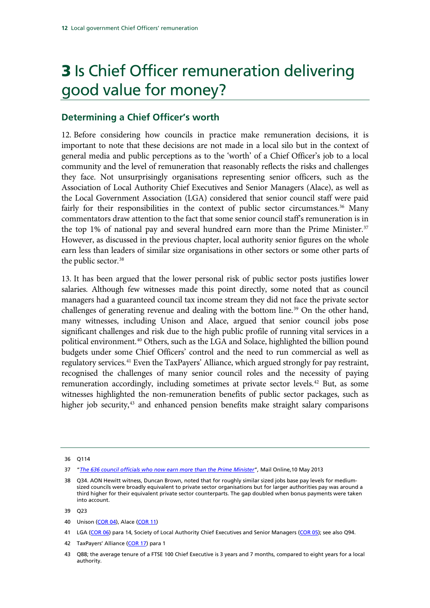## 3 Is Chief Officer remuneration delivering good value for money?

### **Determining a Chief Officer's worth**

12. Before considering how councils in practice make remuneration decisions, it is important to note that these decisions are not made in a local silo but in the context of general media and public perceptions as to the 'worth' of a Chief Officer's job to a local community and the level of remuneration that reasonably reflects the risks and challenges they face. Not unsurprisingly organisations representing senior officers, such as the Association of Local Authority Chief Executives and Senior Managers (Alace), as well as the Local Government Association (LGA) considered that senior council staff were paid fairly for their responsibilities in the context of public sector circumstances.<sup>[36](#page-12-0)</sup> Many commentators draw attention to the fact that some senior council staff's remuneration is in the top 1% of national pay and several hundred earn more than the Prime Minister.<sup>[37](#page-12-1)</sup> However, as discussed in the previous chapter, local authority senior figures on the whole earn less than leaders of similar size organisations in other sectors or some other parts of the public sector. [38](#page-12-2)

13. It has been argued that the lower personal risk of public sector posts justifies lower salaries. Although few witnesses made this point directly, some noted that as council managers had a guaranteed council tax income stream they did not face the private sector challenges of generating revenue and dealing with the bottom line.<sup>[39](#page-12-3)</sup> On the other hand, many witnesses, including Unison and Alace, argued that senior council jobs pose significant challenges and risk due to the high public profile of running vital services in a political environment.<sup>[40](#page-12-4)</sup> Others, such as the LGA and Solace, highlighted the billion pound budgets under some Chief Officers' control and the need to run commercial as well as regulatory services.<sup>[41](#page-12-5)</sup> Even the TaxPayers' Alliance, which argued strongly for pay restraint, recognised the challenges of many senior council roles and the necessity of paying remuneration accordingly, including sometimes at private sector levels.<sup>[42](#page-12-6)</sup> But, as some witnesses highlighted the non-remuneration benefits of public sector packages, such as higher job security,<sup>[43](#page-12-7)</sup> and enhanced pension benefits make straight salary comparisons

<span id="page-12-6"></span>42 TaxPayers' Alliance [\(COR 17\)](http://data.parliament.uk/writtenevidence/committeeevidence.svc/evidencedocument/communities-and-local-government-committee/local-government-chief-officers-remuneration/written/5752.html) para 1

<span id="page-12-0"></span><sup>36</sup> Q114

<span id="page-12-1"></span><sup>37</sup> "*[The 636 council officials who now earn more than the Prime Minister](http://www.dailymail.co.uk/news/article-2322277/The-636-council-officials-earn-Prime-Minister.html)*"*,* Mail Online,10 May 2013

<span id="page-12-2"></span><sup>38</sup> Q34. AON Hewitt witness, Duncan Brown, noted that for roughly similar sized jobs base pay levels for mediumsized councils were broadly equivalent to private sector organisations but for larger authorities pay was around a third higher for their equivalent private sector counterparts. The gap doubled when bonus payments were taken into account.

<span id="page-12-3"></span><sup>39</sup> Q23

<span id="page-12-4"></span><sup>40</sup> Unison [\(COR 04\)](http://data.parliament.uk/writtenevidence/committeeevidence.svc/evidencedocument/communities-and-local-government-committee/local-government-chief-officers-remuneration/written/5627.html), Alace [\(COR 11\)](http://data.parliament.uk/writtenevidence/committeeevidence.svc/evidencedocument/communities-and-local-government-committee/local-government-chief-officers-remuneration/written/5660.html)

<span id="page-12-5"></span><sup>41</sup> LGA [\(COR 06\)](http://data.parliament.uk/writtenevidence/committeeevidence.svc/evidencedocument/communities-and-local-government-committee/local-government-chief-officers-remuneration/written/5649.html) para 14, Society of Local Authority Chief Executives and Senior Managers [\(COR 05\)](http://data.parliament.uk/writtenevidence/committeeevidence.svc/evidencedocument/communities-and-local-government-committee/local-government-chief-officers-remuneration/written/5646.html); see also Q94.

<span id="page-12-7"></span><sup>43</sup> Q88; the average tenure of a FTSE 100 Chief Executive is 3 years and 7 months, compared to eight years for a local authority.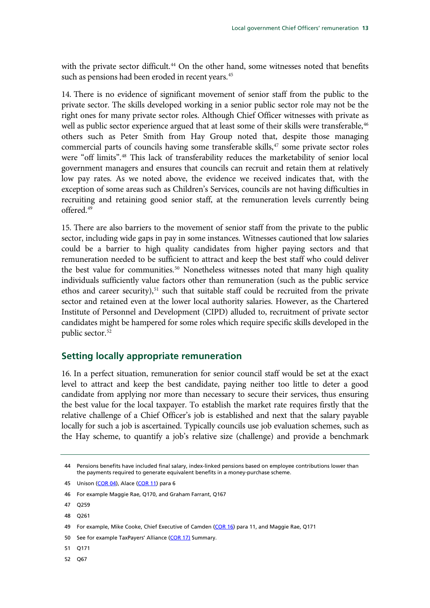with the private sector difficult.<sup>[44](#page-13-0)</sup> On the other hand, some witnesses noted that benefits such as pensions had been eroded in recent years. [45](#page-13-1)

14. There is no evidence of significant movement of senior staff from the public to the private sector. The skills developed working in a senior public sector role may not be the right ones for many private sector roles. Although Chief Officer witnesses with private as well as public sector experience argued that at least some of their skills were transferable,<sup>[46](#page-13-2)</sup> others such as Peter Smith from Hay Group noted that, despite those managing commercial parts of councils having some transferable skills,<sup>[47](#page-13-3)</sup> some private sector roles were "off limits".[48](#page-13-4) This lack of transferability reduces the marketability of senior local government managers and ensures that councils can recruit and retain them at relatively low pay rates. As we noted above, the evidence we received indicates that, with the exception of some areas such as Children's Services, councils are not having difficulties in recruiting and retaining good senior staff, at the remuneration levels currently being offered.[49](#page-13-5)

15. There are also barriers to the movement of senior staff from the private to the public sector, including wide gaps in pay in some instances. Witnesses cautioned that low salaries could be a barrier to high quality candidates from higher paying sectors and that remuneration needed to be sufficient to attract and keep the best staff who could deliver the best value for communities.<sup>[50](#page-13-6)</sup> Nonetheless witnesses noted that many high quality individuals sufficiently value factors other than remuneration (such as the public service ethos and career security), $51$  such that suitable staff could be recruited from the private sector and retained even at the lower local authority salaries. However, as the Chartered Institute of Personnel and Development (CIPD) alluded to, recruitment of private sector candidates might be hampered for some roles which require specific skills developed in the public sector.<sup>[52](#page-13-8)</sup>

#### **Setting locally appropriate remuneration**

16. In a perfect situation, remuneration for senior council staff would be set at the exact level to attract and keep the best candidate, paying neither too little to deter a good candidate from applying nor more than necessary to secure their services, thus ensuring the best value for the local taxpayer. To establish the market rate requires firstly that the relative challenge of a Chief Officer's job is established and next that the salary payable locally for such a job is ascertained. Typically councils use job evaluation schemes, such as the Hay scheme, to quantify a job's relative size (challenge) and provide a benchmark

<span id="page-13-7"></span>51 Q171

<span id="page-13-8"></span>52 Q67

<span id="page-13-0"></span><sup>44</sup> Pensions benefits have included final salary, index-linked pensions based on employee contributions lower than the payments required to generate equivalent benefits in a money-purchase scheme.

<span id="page-13-1"></span><sup>45</sup> Unison [\(COR 04\)](http://data.parliament.uk/writtenevidence/committeeevidence.svc/evidencedocument/communities-and-local-government-committee/local-government-chief-officers-remuneration/written/5627.html), Alace [\(COR 11\)](http://data.parliament.uk/writtenevidence/committeeevidence.svc/evidencedocument/communities-and-local-government-committee/local-government-chief-officers-remuneration/written/5660.html) para 6

<span id="page-13-2"></span><sup>46</sup> For example Maggie Rae, Q170, and Graham Farrant, Q167

<span id="page-13-3"></span><sup>47</sup> Q259

<span id="page-13-4"></span><sup>48</sup> Q261

<span id="page-13-5"></span><sup>49</sup> For example, Mike Cooke, Chief Executive of Camden [\(COR 16\)](http://data.parliament.uk/writtenevidence/committeeevidence.svc/evidencedocument/communities-and-local-government-committee/local-government-chief-officers-remuneration/written/5741.html) para 11, and Maggie Rae, Q171

<span id="page-13-6"></span><sup>50</sup> See for example TaxPayers' Alliance [\(COR 17\)](http://data.parliament.uk/writtenevidence/committeeevidence.svc/evidencedocument/communities-and-local-government-committee/local-government-chief-officers-remuneration/written/5752.html) Summary.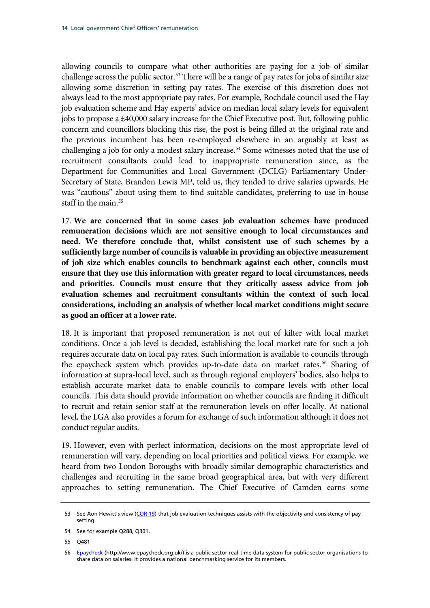allowing councils to compare what other authorities are paying for a job of similar challenge across the public sector.<sup>[53](#page-14-0)</sup> There will be a range of pay rates for jobs of similar size allowing some discretion in setting pay rates. The exercise of this discretion does not always lead to the most appropriate pay rates. For example, Rochdale council used the Hay job evaluation scheme and Hay experts' advice on median local salary levels for equivalent jobs to propose a £40,000 salary increase for the Chief Executive post. But, following public concern and councillors blocking this rise, the post is being filled at the original rate and the previous incumbent has been re-employed elsewhere in an arguably at least as challenging a job for only a modest salary increase.<sup>54</sup> Some witnesses noted that the use of recruitment consultants could lead to inappropriate remuneration since, as the Department for Communities and Local Government (DCLG) Parliamentary Under-Secretary of State, Brandon Lewis MP, told us, they tended to drive salaries upwards. He was "cautious" about using them to find suitable candidates, preferring to use in-house staff in the main.  $55$ 

17. **We are concerned that in some cases job evaluation schemes have produced remuneration decisions which are not sensitive enough to local circumstances and need. We therefore conclude that, whilst consistent use of such schemes by a sufficiently large number of councils is valuable in providing an objective measurement of job size which enables councils to benchmark against each other, councils must ensure that they use this information with greater regard to local circumstances, needs and priorities. Councils must ensure that they critically assess advice from job evaluation schemes and recruitment consultants within the context of such local considerations, including an analysis of whether local market conditions might secure as good an officer at a lower rate.** 

18. It is important that proposed remuneration is not out of kilter with local market conditions. Once a job level is decided, establishing the local market rate for such a job requires accurate data on local pay rates. Such information is available to councils through the epaycheck system which provides up-to-date data on market rates.<sup>[56](#page-14-3)</sup> Sharing of information at supra-local level, such as through regional employers' bodies, also helps to establish accurate market data to enable councils to compare levels with other local councils. This data should provide information on whether councils are finding it difficult to recruit and retain senior staff at the remuneration levels on offer locally. At national level, the LGA also provides a forum for exchange of such information although it does not conduct regular audits.

19. However, even with perfect information, decisions on the most appropriate level of remuneration will vary, depending on local priorities and political views. For example, we heard from two London Boroughs with broadly similar demographic characteristics and challenges and recruiting in the same broad geographical area, but with very different approaches to setting remuneration. The Chief Executive of Camden earns some

<span id="page-14-0"></span><sup>53</sup> See Aon Hewitt's view [\(COR 19\)](http://data.parliament.uk/writtenevidence/committeeevidence.svc/evidencedocument/communities-and-local-government-committee/local-government-chief-officers-remuneration/written/7369.html) that job evaluation techniques assists with the objectivity and consistency of pay setting.

<span id="page-14-1"></span><sup>54</sup> See for example Q288, Q301.

<span id="page-14-2"></span><sup>55</sup> Q481

<span id="page-14-3"></span><sup>56</sup> [Epaycheck](http://www.epaycheck.org.uk/) (http://www.epaycheck.org.uk/) is a public sector real-time data system for public sector organisations to share data on salaries. It provides a national benchmarking service for its members.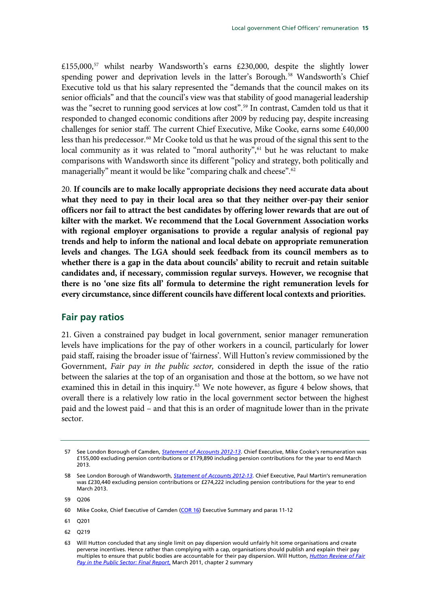£155,000,[57](#page-15-0) whilst nearby Wandsworth's earns £230,000, despite the slightly lower spending power and deprivation levels in the latter's Borough.<sup>[58](#page-15-1)</sup> Wandsworth's Chief Executive told us that his salary represented the "demands that the council makes on its senior officials" and that the council's view was that stability of good managerial leadership was the "secret to running good services at low cost".<sup>59</sup> In contrast, Camden told us that it responded to changed economic conditions after 2009 by reducing pay, despite increasing challenges for senior staff. The current Chief Executive, Mike Cooke, earns some £40,000 less than his predecessor.<sup>[60](#page-15-3)</sup> Mr Cooke told us that he was proud of the signal this sent to the local community as it was related to "moral authority",<sup>[61](#page-15-4)</sup> but he was reluctant to make comparisons with Wandsworth since its different "policy and strategy, both politically and managerially" meant it would be like "comparing chalk and cheese".<sup>[62](#page-15-5)</sup>

20. **If councils are to make locally appropriate decisions they need accurate data about what they need to pay in their local area so that they neither over-pay their senior officers nor fail to attract the best candidates by offering lower rewards that are out of kilter with the market. We recommend that the Local Government Association works with regional employer organisations to provide a regular analysis of regional pay trends and help to inform the national and local debate on appropriate remuneration levels and changes. The LGA should seek feedback from its council members as to whether there is a gap in the data about councils' ability to recruit and retain suitable candidates and, if necessary, commission regular surveys. However, we recognise that there is no 'one size fits all' formula to determine the right remuneration levels for every circumstance, since different councils have different local contexts and priorities.**

### **Fair pay ratios**

21. Given a constrained pay budget in local government, senior manager remuneration levels have implications for the pay of other workers in a council, particularly for lower paid staff, raising the broader issue of 'fairness'. Will Hutton's review commissioned by the Government, *Fair pay in the public sector,* considered in depth the issue of the ratio between the salaries at the top of an organisation and those at the bottom, so we have not examined this in detail in this inquiry.<sup>[63](#page-15-6)</sup> We note however, as figure 4 below shows, that overall there is a relatively low ratio in the local government sector between the highest paid and the lowest paid – and that this is an order of magnitude lower than in the private sector.

<span id="page-15-5"></span>62 Q219

<span id="page-15-0"></span><sup>57</sup> See London Borough of Camden, *[Statement of Accounts 2012-13](https://www.camden.gov.uk/ccm/content/council-and-democracy/publications-and-finances/statement-of-accounts.en;jsessionid=3C341F33411C146C6915DAC76D62E145)*. Chief Executive, Mike Cooke's remuneration was £155,000 excluding pension contributions or £179,890 including pension contributions for the year to end March 2013.

<span id="page-15-1"></span><sup>58</sup> See London Borough of Wandsworth, *[Statement of Accounts 2012-13](http://www.wandsworth.gov.uk/downloads/file/8727/statement_of_accounts_-_201213)*. Chief Executive, Paul Martin's remuneration was £230,440 excluding pension contributions or £274,222 including pension contributions for the year to end March 2013.

<span id="page-15-2"></span><sup>59</sup> Q206

<span id="page-15-3"></span><sup>60</sup> Mike Cooke, Chief Executive of Camden [\(COR 16\)](http://data.parliament.uk/writtenevidence/committeeevidence.svc/evidencedocument/communities-and-local-government-committee/local-government-chief-officers-remuneration/written/5741.html) Executive Summary and paras 11-12

<span id="page-15-4"></span><sup>61</sup> Q201

<span id="page-15-6"></span><sup>63</sup> Will Hutton concluded that any single limit on pay dispersion would unfairly hit some organisations and create perverse incentives. Hence rather than complying with a cap, organisations should publish and explain their pay multiples to ensure that public bodies are accountable for their pay dispersion. Will Hutton, *[Hutton Review of Fair](http://webarchive.nationalarchives.gov.uk/20130129110402/http:/www.hm-treasury.gov.uk/d/hutton_fairpay_review.pdf)  [Pay in the Public Sector: Final Report](http://webarchive.nationalarchives.gov.uk/20130129110402/http:/www.hm-treasury.gov.uk/d/hutton_fairpay_review.pdf)*, March 2011, chapter 2 summary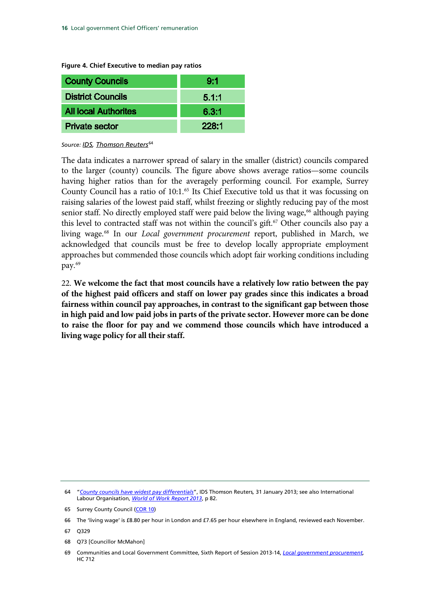**Figure 4. Chief Executive to median pay ratios**

| <b>County Councils</b>      | 9:1   |
|-----------------------------|-------|
| <b>District Councils</b>    | 5.1:1 |
| <b>All local Authorites</b> | 6.3:1 |
| <b>Private sector</b>       | 228:1 |

Source: **IDS**, **Thomson Reuters**<sup>[64](#page-16-0)</sup>

The data indicates a narrower spread of salary in the smaller (district) councils compared to the larger (county) councils. The figure above shows average ratios—some councils having higher ratios than for the averagely performing council. For example, Surrey County Council has a ratio of 10:1.<sup>[65](#page-16-1)</sup> Its Chief Executive told us that it was focussing on raising salaries of the lowest paid staff, whilst freezing or slightly reducing pay of the most senior staff. No directly employed staff were paid below the living wage,<sup>[66](#page-16-2)</sup> although paying this level to contracted staff was not within the council's gift.<sup>[67](#page-16-3)</sup> Other councils also pay a living wage. [68](#page-16-4) In our *Local government procurement* report, published in March, we acknowledged that councils must be free to develop locally appropriate employment approaches but commended those councils which adopt fair working conditions including pay.[69](#page-16-5)

22. **We welcome the fact that most councils have a relatively low ratio between the pay of the highest paid officers and staff on lower pay grades since this indicates a broad fairness within council pay approaches, in contrast to the significant gap between those in high paid and low paid jobs in parts of the private sector. However more can be done to raise the floor for pay and we commend those councils which have introduced a living wage policy for all their staff.**

<span id="page-16-0"></span><sup>64</sup> "*[County councils have widest pay differentials](https://www.ids.thomsonreuters.com/executive-compensation/news/county-councils-have-widest-pay-differentials)*", IDS Thomson Reuters*,* 31 January 2013; see also International Labour Organisation, *[World of Work Report 2013](http://www.ilo.org/global/research/global-reports/world-of-work/2013/WCMS_214476/lang--en/index.htm)*, p 82.

<span id="page-16-1"></span><sup>65</sup> Surrey County Council [\(COR 10\)](http://data.parliament.uk/writtenevidence/committeeevidence.svc/evidencedocument/communities-and-local-government-committee/local-government-chief-officers-remuneration/written/5659.html)

<span id="page-16-2"></span><sup>66</sup> The 'living wage' is £8.80 per hour in London and £7.65 per hour elsewhere in England, reviewed each November.

<span id="page-16-3"></span><sup>67</sup> Q329

<span id="page-16-4"></span><sup>68</sup> Q73 [Councillor McMahon]

<span id="page-16-5"></span><sup>69</sup> Communities and Local Government Committee, Sixth Report of Session 2013-14, *[Local government procurement,](http://www.publications.parliament.uk/pa/cm201314/cmselect/cmcomloc/712/71202.htm)*  HC 712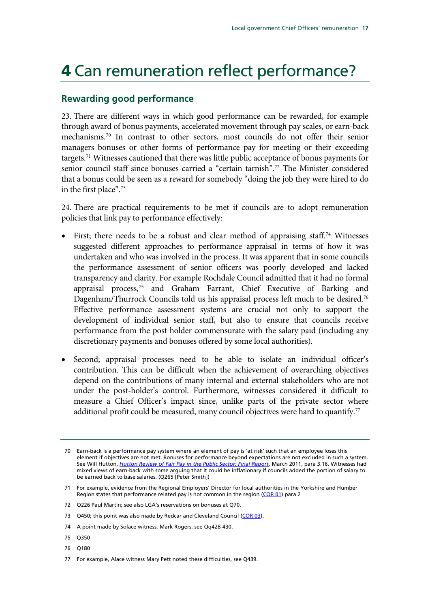## 4 Can remuneration reflect performance?

### **Rewarding good performance**

23. There are different ways in which good performance can be rewarded, for example through award of bonus payments, accelerated movement through pay scales, or earn-back mechanisms.[70](#page-17-0) In contrast to other sectors, most councils do not offer their senior managers bonuses or other forms of performance pay for meeting or their exceeding targets.<sup>[71](#page-17-1)</sup> Witnesses cautioned that there was little public acceptance of bonus payments for senior council staff since bonuses carried a "certain tarnish".[72](#page-17-2) The Minister considered that a bonus could be seen as a reward for somebody "doing the job they were hired to do in the first place".[73](#page-17-3)

24. There are practical requirements to be met if councils are to adopt remuneration policies that link pay to performance effectively:

- First; there needs to be a robust and clear method of appraising staff.<sup>[74](#page-17-4)</sup> Witnesses suggested different approaches to performance appraisal in terms of how it was undertaken and who was involved in the process. It was apparent that in some councils the performance assessment of senior officers was poorly developed and lacked transparency and clarity. For example Rochdale Council admitted that it had no formal appraisal process,[75](#page-17-5) and Graham Farrant, Chief Executive of Barking and Dagenham/Thurrock Councils told us his appraisal process left much to be desired.<sup>[76](#page-17-6)</sup> Effective performance assessment systems are crucial not only to support the development of individual senior staff, but also to ensure that councils receive performance from the post holder commensurate with the salary paid (including any discretionary payments and bonuses offered by some local authorities).
- Second; appraisal processes need to be able to isolate an individual officer's contribution. This can be difficult when the achievement of overarching objectives depend on the contributions of many internal and external stakeholders who are not under the post-holder's control. Furthermore, witnesses considered it difficult to measure a Chief Officer's impact since, unlike parts of the private sector where additional profit could be measured, many council objectives were hard to quantify.<sup>[77](#page-17-7)</sup>

- <span id="page-17-5"></span>75 Q350
- <span id="page-17-6"></span>76 Q180
- <span id="page-17-7"></span>77 For example, Alace witness Mary Pett noted these difficulties, see Q439.

<span id="page-17-0"></span><sup>70</sup> Earn-back is a performance pay system where an element of pay is 'at risk' such that an employee loses this element if objectives are not met. Bonuses for performance beyond expectations are not excluded in such a system. See Will Hutton, *[Hutton Review of Fair Pay in the Public Sector: Final Report](http://www.publications.parliament.uk/pa/cm201314/cmselect/cmcomloc/712/71202.htm)*, March 2011, para 3.16. Witnesses had mixed views of earn-back with some arguing that it could be inflationary if councils added the portion of salary to be earned back to base salaries. (Q265 [Peter Smith])

<span id="page-17-1"></span><sup>71</sup> For example, evidence from the Regional Employers' Director for local authorities in the Yorkshire and Humber Region states that performance related pay is not common in the region ( $COR$  01) para 2

<span id="page-17-2"></span><sup>72</sup> Q226 Paul Martin; see also LGA's reservations on bonuses at Q70.

<span id="page-17-3"></span><sup>73</sup> Q450; this point was also made by Redcar and Cleveland Council [\(COR 03\)](http://data.parliament.uk/writtenevidence/committeeevidence.svc/evidencedocument/communities-and-local-government-committee/local-government-chief-officers-remuneration/written/5614.html).

<span id="page-17-4"></span><sup>74</sup> A point made by Solace witness, Mark Rogers, see Qq428-430.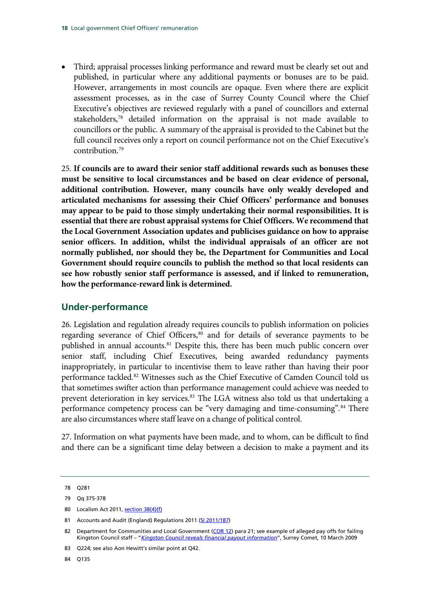• Third; appraisal processes linking performance and reward must be clearly set out and published, in particular where any additional payments or bonuses are to be paid. However, arrangements in most councils are opaque. Even where there are explicit assessment processes, as in the case of Surrey County Council where the Chief Executive's objectives are reviewed regularly with a panel of councillors and external stakeholders,[78](#page-18-0) detailed information on the appraisal is not made available to councillors or the public. A summary of the appraisal is provided to the Cabinet but the full council receives only a report on council performance not on the Chief Executive's  $contribution<sup>79</sup>$  $contribution<sup>79</sup>$  $contribution<sup>79</sup>$ 

25. **If councils are to award their senior staff additional rewards such as bonuses these must be sensitive to local circumstances and be based on clear evidence of personal, additional contribution. However, many councils have only weakly developed and articulated mechanisms for assessing their Chief Officers' performance and bonuses may appear to be paid to those simply undertaking their normal responsibilities. It is essential that there are robust appraisal systems for Chief Officers. We recommend that the Local Government Association updates and publicises guidance on how to appraise senior officers. In addition, whilst the individual appraisals of an officer are not normally published, nor should they be, the Department for Communities and Local Government should require councils to publish the method so that local residents can see how robustly senior staff performance is assessed, and if linked to remuneration, how the performance-reward link is determined.** 

### **Under-performance**

26. Legislation and regulation already requires councils to publish information on policies regarding severance of Chief Officers,<sup>80</sup> and for details of severance payments to be published in annual accounts.<sup>[81](#page-18-3)</sup> Despite this, there has been much public concern over senior staff, including Chief Executives, being awarded redundancy payments inappropriately, in particular to incentivise them to leave rather than having their poor performance tackled.<sup>[82](#page-18-4)</sup> Witnesses such as the Chief Executive of Camden Council told us that sometimes swifter action than performance management could achieve was needed to prevent deterioration in key services.<sup>[83](#page-18-5)</sup> The LGA witness also told us that undertaking a performance competency process can be "very damaging and time-consuming".<sup>[84](#page-18-6)</sup> There are also circumstances where staff leave on a change of political control.

27. Information on what payments have been made, and to whom, can be difficult to find and there can be a significant time delay between a decision to make a payment and its

<span id="page-18-2"></span>80 Localism Act 2011[, section 38\(4\)\(f\)](http://www.legislation.gov.uk/ukpga/2011/20/section/38)

<span id="page-18-0"></span><sup>78</sup> Q281

<span id="page-18-1"></span><sup>79</sup> Qq 375-378

<span id="page-18-3"></span><sup>81</sup> Accounts and Audit (England) Regulations 2011 [\(SI 2011/187\)](http://www.legislation.gov.uk/uksi/2011/817/made)

<span id="page-18-4"></span><sup>82</sup> Department for Communities and Local Government [\(COR 12\)](http://data.parliament.uk/writtenevidence/committeeevidence.svc/evidencedocument/communities-and-local-government-committee/local-government-chief-officers-remuneration/written/5661.html) para 21; see example of alleged pay offs for failing Kingston Council staff – "*[Kingston Council reveals financial payout information](http://www.surreycomet.co.uk/news/4187891.Council_paid_off_six__failed_workers_/)*", Surrey Comet, 10 March 2009

<span id="page-18-5"></span><sup>83</sup> Q224; see also Aon Hewitt's similar point at Q42.

<span id="page-18-6"></span><sup>84</sup> Q135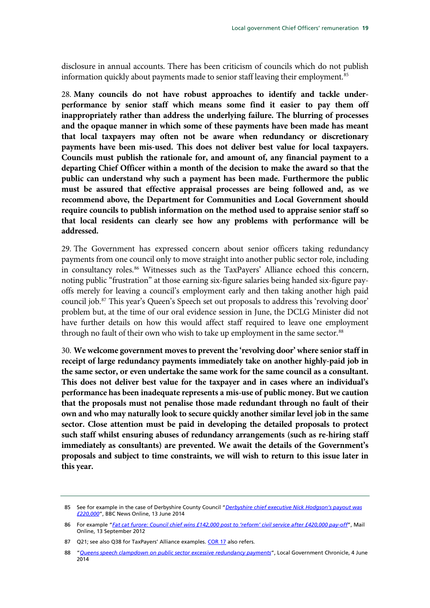disclosure in annual accounts. There has been criticism of councils which do not publish information quickly about payments made to senior staff leaving their employment.<sup>[85](#page-19-0)</sup>

28. **Many councils do not have robust approaches to identify and tackle underperformance by senior staff which means some find it easier to pay them off inappropriately rather than address the underlying failure. The blurring of processes and the opaque manner in which some of these payments have been made has meant that local taxpayers may often not be aware when redundancy or discretionary payments have been mis-used. This does not deliver best value for local taxpayers. Councils must publish the rationale for, and amount of, any financial payment to a departing Chief Officer within a month of the decision to make the award so that the public can understand why such a payment has been made. Furthermore the public must be assured that effective appraisal processes are being followed and, as we recommend above, the Department for Communities and Local Government should require councils to publish information on the method used to appraise senior staff so that local residents can clearly see how any problems with performance will be addressed.** 

29. The Government has expressed concern about senior officers taking redundancy payments from one council only to move straight into another public sector role, including in consultancy roles.<sup>[86](#page-19-1)</sup> Witnesses such as the TaxPayers' Alliance echoed this concern, noting public "frustration" at those earning six-figure salaries being handed six-figure payoffs merely for leaving a council's employment early and then taking another high paid council job.[87](#page-19-2) This year's Queen's Speech set out proposals to address this 'revolving door' problem but, at the time of our oral evidence session in June, the DCLG Minister did not have further details on how this would affect staff required to leave one employment through no fault of their own who wish to take up employment in the same sector.<sup>[88](#page-19-3)</sup>

30. **We welcome government moves to prevent the 'revolving door' where senior staff in receipt of large redundancy payments immediately take on another highly-paid job in the same sector, or even undertake the same work for the same council as a consultant. This does not deliver best value for the taxpayer and in cases where an individual's performance has been inadequate represents a mis-use of public money. But we caution that the proposals must not penalise those made redundant through no fault of their own and who may naturally look to secure quickly another similar level job in the same sector. Close attention must be paid in developing the detailed proposals to protect such staff whilst ensuring abuses of redundancy arrangements (such as re-hiring staff immediately as consultants) are prevented. We await the details of the Government's proposals and subject to time constraints, we will wish to return to this issue later in this year.** 

<span id="page-19-0"></span><sup>85</sup> See for example in the case of Derbyshire County Council "*[Derbyshire chief executive Nick Hodgson's payout was](http://www.bbc.co.uk/news/uk-england-derbyshire-27828548)  [£220,000](http://www.bbc.co.uk/news/uk-england-derbyshire-27828548)*", BBC News Online, 13 June 2014

<span id="page-19-1"></span><sup>86</sup> For example "*[Fat cat furore: Council chief wins £142,000 post to 'reform' civil service after £420,000 pay-off](http://www.dailymail.co.uk/news/article-2202567/Kent-County-Council-chief-Katherine-Kerswell-wins-142-000-civil-service-post-gets-420-000-pay-off.html)*", Mail Online, 13 September 2012

<span id="page-19-2"></span><sup>87</sup> Q21; see also Q38 for TaxPayers' Alliance examples[. COR 17](http://data.parliament.uk/writtenevidence/committeeevidence.svc/evidencedocument/communities-and-local-government-committee/local-government-chief-officers-remuneration/written/5752.html) also refers.

<span id="page-19-3"></span><sup>88</sup> "*[Queens speech clampdown on public sector excessive redundancy payments](http://www.lgcplus.com/news/queens-speech-clampdown-on-public-sector-excessive-redundancy-payments/5071610.article)*", Local Government Chronicle, 4 June 2014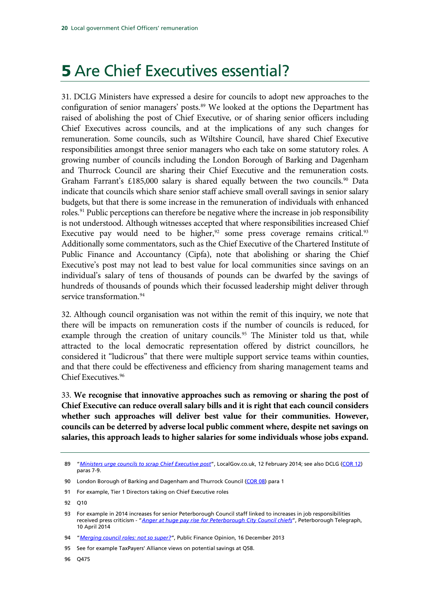## 5 Are Chief Executives essential?

31. DCLG Ministers have expressed a desire for councils to adopt new approaches to the configuration of senior managers' posts.<sup>[89](#page-20-0)</sup> We looked at the options the Department has raised of abolishing the post of Chief Executive, or of sharing senior officers including Chief Executives across councils, and at the implications of any such changes for remuneration. Some councils, such as Wiltshire Council, have shared Chief Executive responsibilities amongst three senior managers who each take on some statutory roles. A growing number of councils including the London Borough of Barking and Dagenham and Thurrock Council are sharing their Chief Executive and the remuneration costs. Graham Farrant's  $£185,000$  salary is shared equally between the two councils.<sup>[90](#page-20-1)</sup> Data indicate that councils which share senior staff achieve small overall savings in senior salary budgets, but that there is some increase in the remuneration of individuals with enhanced roles.<sup>[91](#page-20-2)</sup> Public perceptions can therefore be negative where the increase in job responsibility is not understood. Although witnesses accepted that where responsibilities increased Chief Executive pay would need to be higher, $92$  some press coverage remains critical. $93$ Additionally some commentators, such as the Chief Executive of the Chartered Institute of Public Finance and Accountancy (Cipfa), note that abolishing or sharing the Chief Executive's post may not lead to best value for local communities since savings on an individual's salary of tens of thousands of pounds can be dwarfed by the savings of hundreds of thousands of pounds which their focussed leadership might deliver through service transformation.<sup>[94](#page-20-5)</sup>

32. Although council organisation was not within the remit of this inquiry, we note that there will be impacts on remuneration costs if the number of councils is reduced, for example through the creation of unitary councils.<sup>[95](#page-20-6)</sup> The Minister told us that, while attracted to the local democratic representation offered by district councillors, he considered it "ludicrous" that there were multiple support service teams within counties, and that there could be effectiveness and efficiency from sharing management teams and Chief Executives.[96](#page-20-7)

33. **We recognise that innovative approaches such as removing or sharing the post of Chief Executive can reduce overall salary bills and it is right that each council considers whether such approaches will deliver best value for their communities. However, councils can be deterred by adverse local public comment where, despite net savings on salaries, this approach leads to higher salaries for some individuals whose jobs expand.** 

<span id="page-20-7"></span>96 Q475

<span id="page-20-0"></span><sup>89</sup> "*[Ministers urge councils to scrap Chief Executive post](http://www.localgov.co.uk/Ministers-urge-councils-to-scrap-chief-executive-post/35594)*", LocalGov.co.uk, 12 February 2014; see also DCLG [\(COR 12\)](http://data.parliament.uk/writtenevidence/committeeevidence.svc/evidencedocument/communities-and-local-government-committee/local-government-chief-officers-remuneration/written/5661.html) paras 7-9.

<span id="page-20-1"></span><sup>90</sup> London Borough of Barking and Dagenham and Thurrock Council [\(COR 08\)](http://data.parliament.uk/writtenevidence/committeeevidence.svc/evidencedocument/communities-and-local-government-committee/local-government-chief-officers-remuneration/written/5652.html) para 1

<span id="page-20-2"></span><sup>91</sup> For example, Tier 1 Directors taking on Chief Executive roles

<span id="page-20-3"></span><sup>92</sup> Q10

<span id="page-20-4"></span><sup>93</sup> For example in 2014 increases for senior Peterborough Council staff linked to increases in job responsibilities received press criticism - "*[Anger at huge pay rise for Peterborough City Council chiefs](http://www.peterboroughtoday.co.uk/news/politics/politics-news/anger-at-huge-pay-rise-for-peterborough-city-council-chiefs-1-5992136)*", Peterborough Telegraph, 10 April 2014

<span id="page-20-5"></span><sup>94</sup> "*[Merging council roles: not so super?"](http://opinion.publicfinance.co.uk/2013/12/merging-council-roles-not-so-super/)*, Public Finance Opinion, 16 December 2013

<span id="page-20-6"></span><sup>95</sup> See for example TaxPayers' Alliance views on potential savings at Q58.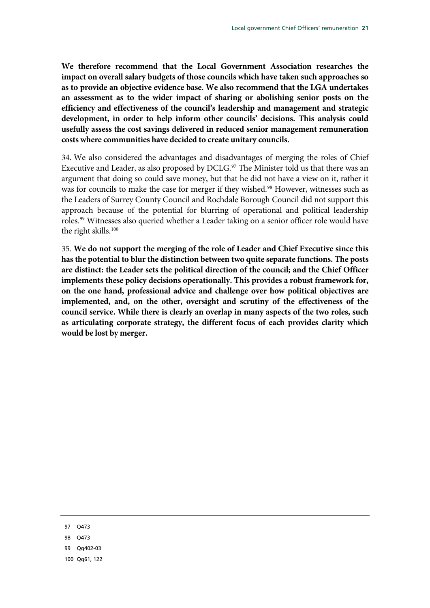**We therefore recommend that the Local Government Association researches the impact on overall salary budgets of those councils which have taken such approaches so as to provide an objective evidence base. We also recommend that the LGA undertakes an assessment as to the wider impact of sharing or abolishing senior posts on the efficiency and effectiveness of the council's leadership and management and strategic development, in order to help inform other councils' decisions. This analysis could usefully assess the cost savings delivered in reduced senior management remuneration costs where communities have decided to create unitary councils.**

34. We also considered the advantages and disadvantages of merging the roles of Chief Executive and Leader, as also proposed by DCLG.<sup>[97](#page-21-0)</sup> The Minister told us that there was an argument that doing so could save money, but that he did not have a view on it, rather it was for councils to make the case for merger if they wished.<sup>[98](#page-21-1)</sup> However, witnesses such as the Leaders of Surrey County Council and Rochdale Borough Council did not support this approach because of the potential for blurring of operational and political leadership roles.<sup>[99](#page-21-2)</sup> Witnesses also queried whether a Leader taking on a senior officer role would have the right skills.<sup>[100](#page-21-3)</sup>

35. **We do not support the merging of the role of Leader and Chief Executive since this has the potential to blur the distinction between two quite separate functions. The posts are distinct: the Leader sets the political direction of the council; and the Chief Officer implements these policy decisions operationally. This provides a robust framework for, on the one hand, professional advice and challenge over how political objectives are implemented, and, on the other, oversight and scrutiny of the effectiveness of the council service. While there is clearly an overlap in many aspects of the two roles, such as articulating corporate strategy, the different focus of each provides clarity which would be lost by merger.**

<span id="page-21-3"></span><span id="page-21-2"></span><span id="page-21-1"></span><span id="page-21-0"></span>97 Q473 98 Q473 99 Qq402-03 100 Qq61, 122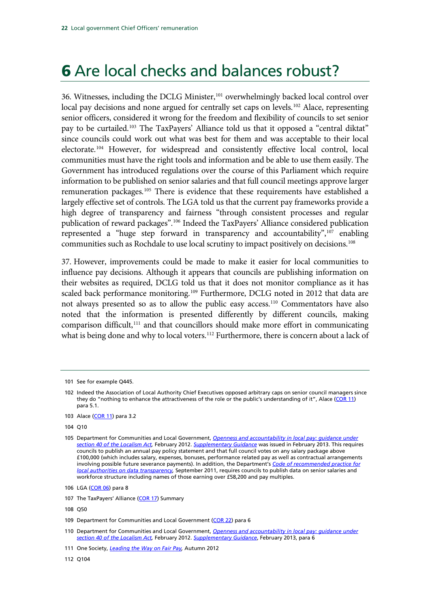## 6 Are local checks and balances robust?

36. Witnesses, including the DCLG Minister,<sup>[101](#page-22-0)</sup> overwhelmingly backed local control over local pay decisions and none argued for centrally set caps on levels.<sup>[102](#page-22-1)</sup> Alace, representing senior officers, considered it wrong for the freedom and flexibility of councils to set senior pay to be curtailed.[103](#page-22-2) The TaxPayers' Alliance told us that it opposed a "central diktat" since councils could work out what was best for them and was acceptable to their local electorate.[104](#page-22-3) However, for widespread and consistently effective local control, local communities must have the right tools and information and be able to use them easily. The Government has introduced regulations over the course of this Parliament which require information to be published on senior salaries and that full council meetings approve larger remuneration packages.<sup>[105](#page-22-4)</sup> There is evidence that these requirements have established a largely effective set of controls. The LGA told us that the current pay frameworks provide a high degree of transparency and fairness "through consistent processes and regular publication of reward packages".[106](#page-22-5) Indeed the TaxPayers' Alliance considered publication represented a "huge step forward in transparency and accountability", $107$  enabling communities such as Rochdale to use local scrutiny to impact positively on decisions.<sup>[108](#page-22-7)</sup>

37. However, improvements could be made to make it easier for local communities to influence pay decisions. Although it appears that councils are publishing information on their websites as required, DCLG told us that it does not monitor compliance as it has scaled back performance monitoring.<sup>[109](#page-22-8)</sup> Furthermore, DCLG noted in 2012 that data are not always presented so as to allow the public easy access.[110](#page-22-9) Commentators have also noted that the information is presented differently by different councils, making comparison difficult,<sup>[111](#page-22-10)</sup> and that councillors should make more effort in communicating what is being done and why to local voters.<sup>[112](#page-22-11)</sup> Furthermore, there is concern about a lack of

<span id="page-22-0"></span><sup>101</sup> See for example Q445.

<span id="page-22-1"></span><sup>102</sup> Indeed the Association of Local Authority Chief Executives opposed arbitrary caps on senior council managers since they do "nothing to enhance the attractiveness of the role or the public's understanding of it", Alace [\(COR 11\)](http://data.parliament.uk/writtenevidence/committeeevidence.svc/evidencedocument/communities-and-local-government-committee/local-government-chief-officers-remuneration/written/5660.html) para 5.1.

<span id="page-22-2"></span><sup>103</sup> Alace [\(COR 11\)](http://data.parliament.uk/writtenevidence/committeeevidence.svc/evidencedocument/communities-and-local-government-committee/local-government-chief-officers-remuneration/written/5660.html) para 3.2

<span id="page-22-3"></span><sup>104</sup> Q10

<span id="page-22-4"></span><sup>105</sup> Department for Communities and Local Government, *[Openness and accountability in local pay: guidance under](https://www.gov.uk/government/publications/openness-and-accountability-in-local-pay-guidance)  [section 40 of the Localism Act,](https://www.gov.uk/government/publications/openness-and-accountability-in-local-pay-guidance)* February 2012. *[Supplementary Guidance](https://www.gov.uk/government/publications/openness-and-accountability-in-local-pay-supplementary-guidance)* was issued in February 2013. This requires councils to publish an annual pay policy statement and that full council votes on any salary package above £100,000 (which includes salary, expenses, bonuses, performance related pay as well as contractual arrangements involving possible future severance payments). In addition, the Department's *[Code of recommended practice for](https://www.gov.uk/government/publications/local-authority-data-transparency-code)  [local authorities on data transparency,](https://www.gov.uk/government/publications/local-authority-data-transparency-code)* September 2011, requires councils to publish data on senior salaries and workforce structure including names of those earning over £58,200 and pay multiples.

<span id="page-22-5"></span><sup>106</sup> LGA [\(COR 06\)](http://data.parliament.uk/writtenevidence/committeeevidence.svc/evidencedocument/communities-and-local-government-committee/local-government-chief-officers-remuneration/written/5649.html) para 8

<span id="page-22-6"></span><sup>107</sup> The TaxPayers' Alliance [\(COR 17\)](http://data.parliament.uk/writtenevidence/committeeevidence.svc/evidencedocument/communities-and-local-government-committee/local-government-chief-officers-remuneration/written/5752.html) Summary

<span id="page-22-7"></span><sup>108</sup> Q50

<span id="page-22-8"></span><sup>109</sup> Department for Communities and Local Government [\(COR 22\)](http://data.parliament.uk/writtenevidence/committeeevidence.svc/evidencedocument/communities-and-local-government-committee/local-government-chief-officers-remuneration/written/10745.html) para 6

<span id="page-22-9"></span><sup>110</sup> Department for Communities and Local Government, *[Openness and accountability in local pay: guidance under](https://www.gov.uk/government/publications/openness-and-accountability-in-local-pay-guidance)  [section 40 of the Localism Act,](https://www.gov.uk/government/publications/openness-and-accountability-in-local-pay-guidance)* February 2012. *[Supplementary Guidance](https://www.gov.uk/government/publications/openness-and-accountability-in-local-pay-supplementary-guidance)*, February 2013, para 6

<span id="page-22-10"></span><sup>111</sup> One Society, *[Leading the Way on Fair Pay,](http://www.equalitytrust.org.uk/sites/default/files/Fair%20Pay%20Report.pdf)* Autumn 2012

<span id="page-22-11"></span><sup>112</sup> Q104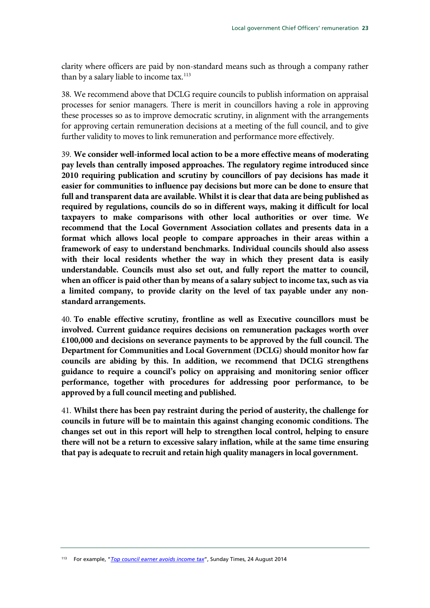clarity where officers are paid by non-standard means such as through a company rather than by a salary liable to income tax. $113$ 

38. We recommend above that DCLG require councils to publish information on appraisal processes for senior managers. There is merit in councillors having a role in approving these processes so as to improve democratic scrutiny, in alignment with the arrangements for approving certain remuneration decisions at a meeting of the full council, and to give further validity to moves to link remuneration and performance more effectively.

39. **We consider well-informed local action to be a more effective means of moderating pay levels than centrally imposed approaches. The regulatory regime introduced since 2010 requiring publication and scrutiny by councillors of pay decisions has made it easier for communities to influence pay decisions but more can be done to ensure that full and transparent data are available. Whilst it is clear that data are being published as required by regulations, councils do so in different ways, making it difficult for local taxpayers to make comparisons with other local authorities or over time. We recommend that the Local Government Association collates and presents data in a format which allows local people to compare approaches in their areas within a framework of easy to understand benchmarks. Individual councils should also assess with their local residents whether the way in which they present data is easily understandable. Councils must also set out, and fully report the matter to council, when an officer is paid other than by means of a salary subject to income tax, such as via a limited company, to provide clarity on the level of tax payable under any nonstandard arrangements.**

40. **To enable effective scrutiny, frontline as well as Executive councillors must be involved. Current guidance requires decisions on remuneration packages worth over £100,000 and decisions on severance payments to be approved by the full council. The Department for Communities and Local Government (DCLG) should monitor how far councils are abiding by this. In addition, we recommend that DCLG strengthens guidance to require a council's policy on appraising and monitoring senior officer performance, together with procedures for addressing poor performance, to be approved by a full council meeting and published.** 

<span id="page-23-1"></span>41. **Whilst there has been pay restraint during the period of austerity, the challenge for councils in future will be to maintain this against changing economic conditions. The changes set out in this report will help to strengthen local control, helping to ensure there will not be a return to excessive salary inflation, while at the same time ensuring that pay is adequate to recruit and retain high quality managers in local government.**

<span id="page-23-0"></span><sup>113</sup> For example, "*[Top council earner avoids income tax](http://www.thesundaytimes.co.uk/sto/news/uk_news/National/article1450485.ece)*", Sunday Times, 24 August 2014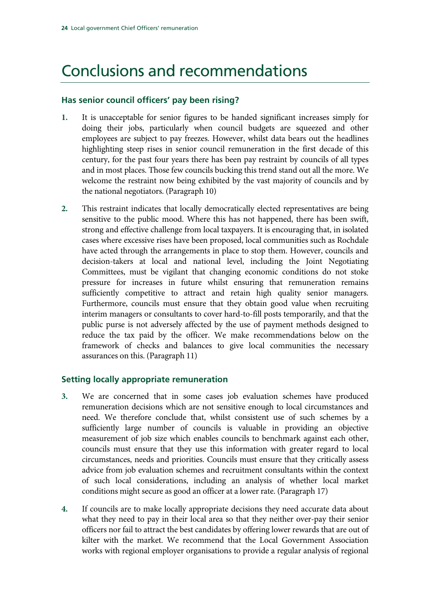## Conclusions and recommendations

### **Has senior council officers' pay been rising?**

- **1.** It is unacceptable for senior figures to be handed significant increases simply for doing their jobs, particularly when council budgets are squeezed and other employees are subject to pay freezes. However, whilst data bears out the headlines highlighting steep rises in senior council remuneration in the first decade of this century, for the past four years there has been pay restraint by councils of all types and in most places. Those few councils bucking this trend stand out all the more. We welcome the restraint now being exhibited by the vast majority of councils and by the national negotiators. (Paragraph 10)
- **2.** This restraint indicates that locally democratically elected representatives are being sensitive to the public mood. Where this has not happened, there has been swift, strong and effective challenge from local taxpayers. It is encouraging that, in isolated cases where excessive rises have been proposed, local communities such as Rochdale have acted through the arrangements in place to stop them. However, councils and decision-takers at local and national level, including the Joint Negotiating Committees, must be vigilant that changing economic conditions do not stoke pressure for increases in future whilst ensuring that remuneration remains sufficiently competitive to attract and retain high quality senior managers. Furthermore, councils must ensure that they obtain good value when recruiting interim managers or consultants to cover hard-to-fill posts temporarily, and that the public purse is not adversely affected by the use of payment methods designed to reduce the tax paid by the officer. We make recommendations below on the framework of checks and balances to give local communities the necessary assurances on this. (Paragraph 11)

### **Setting locally appropriate remuneration**

- **3.** We are concerned that in some cases job evaluation schemes have produced remuneration decisions which are not sensitive enough to local circumstances and need. We therefore conclude that, whilst consistent use of such schemes by a sufficiently large number of councils is valuable in providing an objective measurement of job size which enables councils to benchmark against each other, councils must ensure that they use this information with greater regard to local circumstances, needs and priorities. Councils must ensure that they critically assess advice from job evaluation schemes and recruitment consultants within the context of such local considerations, including an analysis of whether local market conditions might secure as good an officer at a lower rate. (Paragraph 17)
- **4.** If councils are to make locally appropriate decisions they need accurate data about what they need to pay in their local area so that they neither over-pay their senior officers nor fail to attract the best candidates by offering lower rewards that are out of kilter with the market. We recommend that the Local Government Association works with regional employer organisations to provide a regular analysis of regional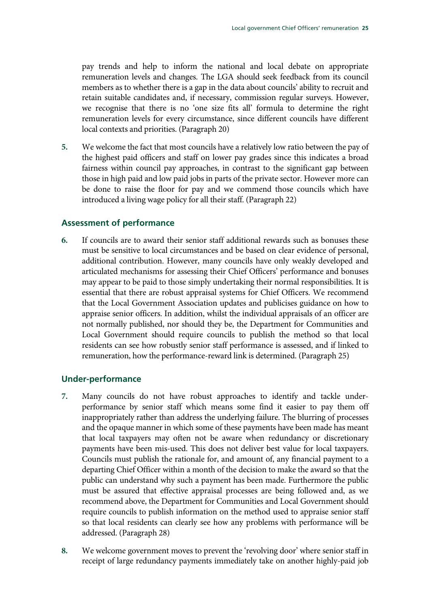pay trends and help to inform the national and local debate on appropriate remuneration levels and changes. The LGA should seek feedback from its council members as to whether there is a gap in the data about councils' ability to recruit and retain suitable candidates and, if necessary, commission regular surveys. However, we recognise that there is no 'one size fits all' formula to determine the right remuneration levels for every circumstance, since different councils have different local contexts and priorities. (Paragraph 20)

**5.** We welcome the fact that most councils have a relatively low ratio between the pay of the highest paid officers and staff on lower pay grades since this indicates a broad fairness within council pay approaches, in contrast to the significant gap between those in high paid and low paid jobs in parts of the private sector. However more can be done to raise the floor for pay and we commend those councils which have introduced a living wage policy for all their staff. (Paragraph 22)

#### **Assessment of performance**

**6.** If councils are to award their senior staff additional rewards such as bonuses these must be sensitive to local circumstances and be based on clear evidence of personal, additional contribution. However, many councils have only weakly developed and articulated mechanisms for assessing their Chief Officers' performance and bonuses may appear to be paid to those simply undertaking their normal responsibilities. It is essential that there are robust appraisal systems for Chief Officers. We recommend that the Local Government Association updates and publicises guidance on how to appraise senior officers. In addition, whilst the individual appraisals of an officer are not normally published, nor should they be, the Department for Communities and Local Government should require councils to publish the method so that local residents can see how robustly senior staff performance is assessed, and if linked to remuneration, how the performance-reward link is determined. (Paragraph 25)

### **Under-performance**

- **7.** Many councils do not have robust approaches to identify and tackle underperformance by senior staff which means some find it easier to pay them off inappropriately rather than address the underlying failure. The blurring of processes and the opaque manner in which some of these payments have been made has meant that local taxpayers may often not be aware when redundancy or discretionary payments have been mis-used. This does not deliver best value for local taxpayers. Councils must publish the rationale for, and amount of, any financial payment to a departing Chief Officer within a month of the decision to make the award so that the public can understand why such a payment has been made. Furthermore the public must be assured that effective appraisal processes are being followed and, as we recommend above, the Department for Communities and Local Government should require councils to publish information on the method used to appraise senior staff so that local residents can clearly see how any problems with performance will be addressed. (Paragraph 28)
- **8.** We welcome government moves to prevent the 'revolving door' where senior staff in receipt of large redundancy payments immediately take on another highly-paid job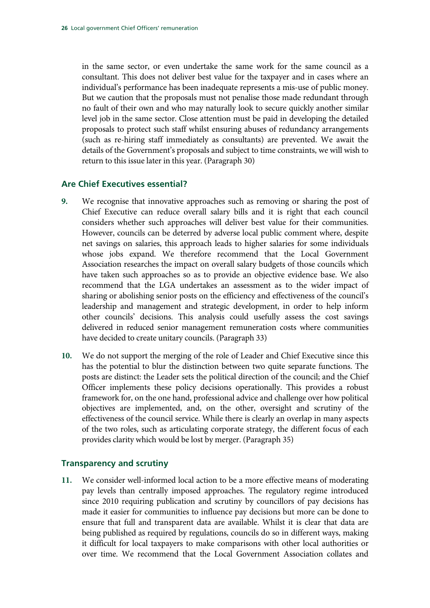in the same sector, or even undertake the same work for the same council as a consultant. This does not deliver best value for the taxpayer and in cases where an individual's performance has been inadequate represents a mis-use of public money. But we caution that the proposals must not penalise those made redundant through no fault of their own and who may naturally look to secure quickly another similar level job in the same sector. Close attention must be paid in developing the detailed proposals to protect such staff whilst ensuring abuses of redundancy arrangements (such as re-hiring staff immediately as consultants) are prevented. We await the details of the Government's proposals and subject to time constraints, we will wish to return to this issue later in this year. (Paragraph 30)

#### **Are Chief Executives essential?**

- **9.** We recognise that innovative approaches such as removing or sharing the post of Chief Executive can reduce overall salary bills and it is right that each council considers whether such approaches will deliver best value for their communities. However, councils can be deterred by adverse local public comment where, despite net savings on salaries, this approach leads to higher salaries for some individuals whose jobs expand. We therefore recommend that the Local Government Association researches the impact on overall salary budgets of those councils which have taken such approaches so as to provide an objective evidence base. We also recommend that the LGA undertakes an assessment as to the wider impact of sharing or abolishing senior posts on the efficiency and effectiveness of the council's leadership and management and strategic development, in order to help inform other councils' decisions. This analysis could usefully assess the cost savings delivered in reduced senior management remuneration costs where communities have decided to create unitary councils. (Paragraph 33)
- **10.** We do not support the merging of the role of Leader and Chief Executive since this has the potential to blur the distinction between two quite separate functions. The posts are distinct: the Leader sets the political direction of the council; and the Chief Officer implements these policy decisions operationally. This provides a robust framework for, on the one hand, professional advice and challenge over how political objectives are implemented, and, on the other, oversight and scrutiny of the effectiveness of the council service. While there is clearly an overlap in many aspects of the two roles, such as articulating corporate strategy, the different focus of each provides clarity which would be lost by merger. (Paragraph 35)

#### **Transparency and scrutiny**

**11.** We consider well-informed local action to be a more effective means of moderating pay levels than centrally imposed approaches. The regulatory regime introduced since 2010 requiring publication and scrutiny by councillors of pay decisions has made it easier for communities to influence pay decisions but more can be done to ensure that full and transparent data are available. Whilst it is clear that data are being published as required by regulations, councils do so in different ways, making it difficult for local taxpayers to make comparisons with other local authorities or over time. We recommend that the Local Government Association collates and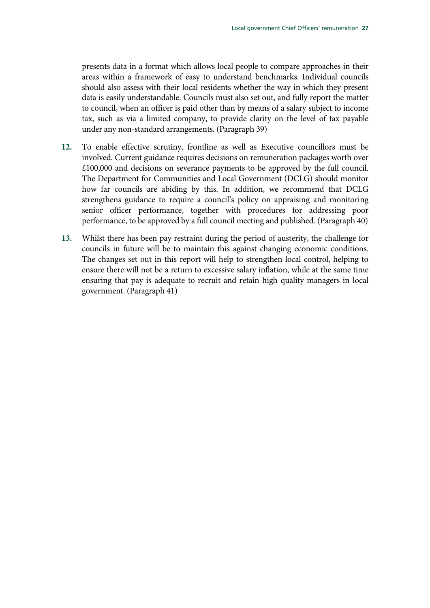presents data in a format which allows local people to compare approaches in their areas within a framework of easy to understand benchmarks. Individual councils should also assess with their local residents whether the way in which they present data is easily understandable. Councils must also set out, and fully report the matter to council, when an officer is paid other than by means of a salary subject to income tax, such as via a limited company, to provide clarity on the level of tax payable under any non-standard arrangements. (Paragraph 39)

- **12.** To enable effective scrutiny, frontline as well as Executive councillors must be involved. Current guidance requires decisions on remuneration packages worth over £100,000 and decisions on severance payments to be approved by the full council. The Department for Communities and Local Government (DCLG) should monitor how far councils are abiding by this. In addition, we recommend that DCLG strengthens guidance to require a council's policy on appraising and monitoring senior officer performance, together with procedures for addressing poor performance, to be approved by a full council meeting and published. (Paragraph 40)
- **13.** Whilst there has been pay restraint during the period of austerity, the challenge for councils in future will be to maintain this against changing economic conditions. The changes set out in this report will help to strengthen local control, helping to ensure there will not be a return to excessive salary inflation, while at the same time ensuring that pay is adequate to recruit and retain high quality managers in local government. (Paragraph 41)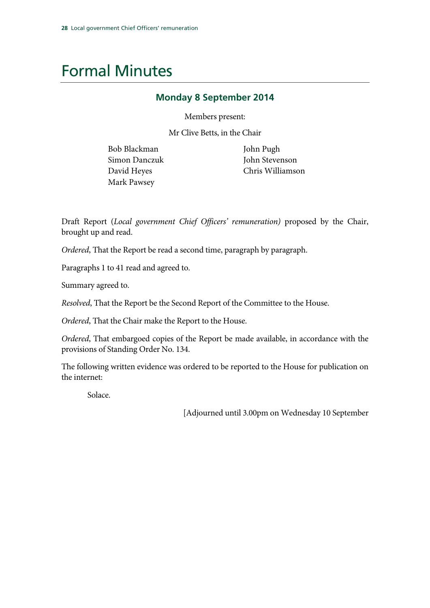## Formal Minutes

### **Monday 8 September 2014**

Members present:

Mr Clive Betts, in the Chair

Bob Blackman Simon Danczuk David Heyes Mark Pawsey

John Pugh John Stevenson Chris Williamson

Draft Report (*Local government Chief Officers' remuneration)* proposed by the Chair, brought up and read.

*Ordered*, That the Report be read a second time, paragraph by paragraph.

Paragraphs 1 to [41](#page-23-1) read and agreed to.

Summary agreed to.

*Resolved*, That the Report be the Second Report of the Committee to the House.

*Ordered*, That the Chair make the Report to the House.

*Ordered*, That embargoed copies of the Report be made available, in accordance with the provisions of Standing Order No. 134.

The following written evidence was ordered to be reported to the House for publication on the internet:

Solace.

[Adjourned until 3.00pm on Wednesday 10 September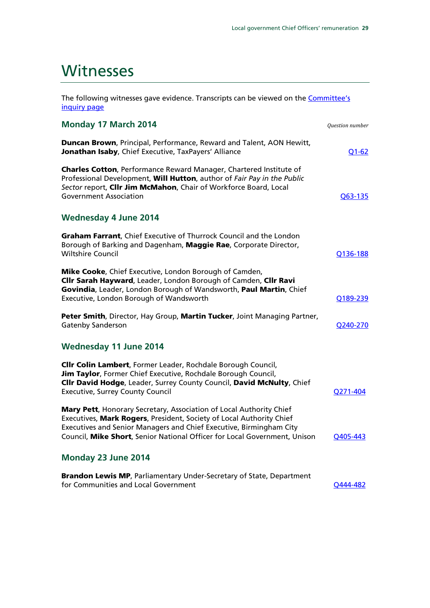### **Witnesses**

The following witnesses gave evidence. Transcripts can be viewed on the **Committee's** [inquiry page](http://www.parliament.uk/business/committees/committees-a-z/commons-select/communities-and-local-government-committee/inquiries/parliament-2010/chief-officers-pay/) 

| <b>Monday 17 March 2014</b>                                                                                                                                                                                                                                                                     | Question number |
|-------------------------------------------------------------------------------------------------------------------------------------------------------------------------------------------------------------------------------------------------------------------------------------------------|-----------------|
| Duncan Brown, Principal, Performance, Reward and Talent, AON Hewitt,<br>Jonathan Isaby, Chief Executive, TaxPayers' Alliance                                                                                                                                                                    | $Q1 - 62$       |
| <b>Charles Cotton, Performance Reward Manager, Chartered Institute of</b><br>Professional Development, Will Hutton, author of Fair Pay in the Public<br>Sector report, Cllr Jim McMahon, Chair of Workforce Board, Local<br><b>Government Association</b>                                       | O63-135         |
| <b>Wednesday 4 June 2014</b>                                                                                                                                                                                                                                                                    |                 |
| <b>Graham Farrant</b> , Chief Executive of Thurrock Council and the London<br>Borough of Barking and Dagenham, Maggie Rae, Corporate Director,<br><b>Wiltshire Council</b>                                                                                                                      | Q136-188        |
| <b>Mike Cooke, Chief Executive, London Borough of Camden,</b><br>Clir Sarah Hayward, Leader, London Borough of Camden, Clir Ravi<br>Govindia, Leader, London Borough of Wandsworth, Paul Martin, Chief<br>Executive, London Borough of Wandsworth                                               | Q189-239        |
| Peter Smith, Director, Hay Group, Martin Tucker, Joint Managing Partner,<br><b>Gatenby Sanderson</b>                                                                                                                                                                                            | Q240-270        |
| Wednesday 11 June 2014                                                                                                                                                                                                                                                                          |                 |
| <b>Clir Colin Lambert, Former Leader, Rochdale Borough Council,</b><br>Jim Taylor, Former Chief Executive, Rochdale Borough Council,<br>Cllr David Hodge, Leader, Surrey County Council, David McNulty, Chief<br><b>Executive, Surrey County Council</b>                                        | O271-404        |
| Mary Pett, Honorary Secretary, Association of Local Authority Chief<br>Executives, Mark Rogers, President, Society of Local Authority Chief<br>Executives and Senior Managers and Chief Executive, Birmingham City<br>Council, Mike Short, Senior National Officer for Local Government, Unison | Q405-443        |
| Monday 23 June 2014                                                                                                                                                                                                                                                                             |                 |
| <b>Brandon Lewis MP, Parliamentary Under-Secretary of State, Department</b><br>for Communities and Local Government                                                                                                                                                                             | O444-482        |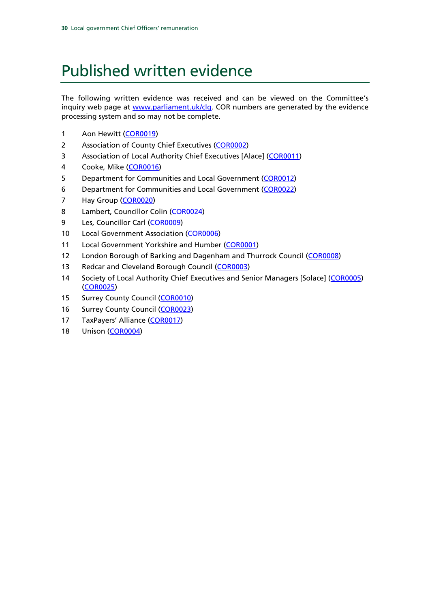## Published written evidence

The following written evidence was received and can be viewed on the Committee's inquiry web page at [www.parliament.uk/clg.](http://www.parliament.uk/clg) COR numbers are generated by the evidence processing system and so may not be complete.

- 1 Aon Hewitt [\(COR0019\)](http://data.parliament.uk/writtenevidence/committeeevidence.svc/evidencedocument/communities-and-local-government-committee/local-government-chief-officers-remuneration/written/7369.html)
- 2 Association of County Chief Executives [\(COR0002\)](http://data.parliament.uk/writtenevidence/committeeevidence.svc/evidencedocument/communities-and-local-government-committee/local-government-chief-officers-remuneration/written/5613.html)
- 3 Association of Local Authority Chief Executives [Alace] [\(COR0011\)](http://data.parliament.uk/writtenevidence/committeeevidence.svc/evidencedocument/communities-and-local-government-committee/local-government-chief-officers-remuneration/written/5660.html)
- 4 Cooke, Mike [\(COR0016\)](http://data.parliament.uk/writtenevidence/committeeevidence.svc/evidencedocument/communities-and-local-government-committee/local-government-chief-officers-remuneration/written/5741.html)
- 5 Department for Communities and Local Government [\(COR0012\)](http://data.parliament.uk/writtenevidence/committeeevidence.svc/evidencedocument/communities-and-local-government-committee/local-government-chief-officers-remuneration/written/5661.html)
- 6 Department for Communities and Local Government [\(COR0022\)](http://data.parliament.uk/writtenevidence/committeeevidence.svc/evidencedocument/communities-and-local-government-committee/local-government-chief-officers-remuneration/written/10745.html)
- 7 Hay Group [\(COR0020\)](http://data.parliament.uk/writtenevidence/committeeevidence.svc/evidencedocument/communities-and-local-government-committee/local-government-chief-officers-remuneration/written/9702.html)
- 8 Lambert, Councillor Colin [\(COR0024\)](http://data.parliament.uk/writtenevidence/committeeevidence.svc/evidencedocument/communities-and-local-government-committee/local-government-chief-officers-remuneration/written/10948.html)
- 9 Les, Councillor Carl [\(COR0009\)](http://data.parliament.uk/writtenevidence/committeeevidence.svc/evidencedocument/communities-and-local-government-committee/local-government-chief-officers-remuneration/written/5655.html)
- 10 Local Government Association [\(COR0006\)](http://data.parliament.uk/writtenevidence/committeeevidence.svc/evidencedocument/communities-and-local-government-committee/local-government-chief-officers-remuneration/written/5649.html)
- 11 Local Government Yorkshire and Humber [\(COR0001\)](http://data.parliament.uk/writtenevidence/committeeevidence.svc/evidencedocument/communities-and-local-government-committee/local-government-chief-officers-remuneration/written/5588.html)
- 12 London Borough of Barking and Dagenham and Thurrock Council [\(COR0008\)](http://data.parliament.uk/writtenevidence/committeeevidence.svc/evidencedocument/communities-and-local-government-committee/local-government-chief-officers-remuneration/written/5652.html)
- 13 Redcar and Cleveland Borough Council [\(COR0003\)](http://data.parliament.uk/writtenevidence/committeeevidence.svc/evidencedocument/communities-and-local-government-committee/local-government-chief-officers-remuneration/written/5614.html)
- 14 Society of Local Authority Chief Executives and Senior Managers [Solace] [\(COR0005\)](http://data.parliament.uk/writtenevidence/committeeevidence.svc/evidencedocument/communities-and-local-government-committee/local-government-chief-officers-remuneration/written/5646.html) [\(COR0025\)](http://data.parliament.uk/writtenevidence/committeeevidence.svc/evidencedocument/communities-and-local-government-committee/local-government-chief-officers-remuneration/written/11714.html)
- 15 Surrey County Council [\(COR0010\)](http://data.parliament.uk/writtenevidence/committeeevidence.svc/evidencedocument/communities-and-local-government-committee/local-government-chief-officers-remuneration/written/5659.html)
- 16 Surrey County Council [\(COR0023\)](http://data.parliament.uk/writtenevidence/committeeevidence.svc/evidencedocument/communities-and-local-government-committee/local-government-chief-officers-remuneration/written/10923.html)
- 17 TaxPayers' Alliance [\(COR0017\)](http://data.parliament.uk/writtenevidence/committeeevidence.svc/evidencedocument/communities-and-local-government-committee/local-government-chief-officers-remuneration/written/5752.html)
- 18 Unison [\(COR0004\)](http://data.parliament.uk/writtenevidence/committeeevidence.svc/evidencedocument/communities-and-local-government-committee/local-government-chief-officers-remuneration/written/5627.html)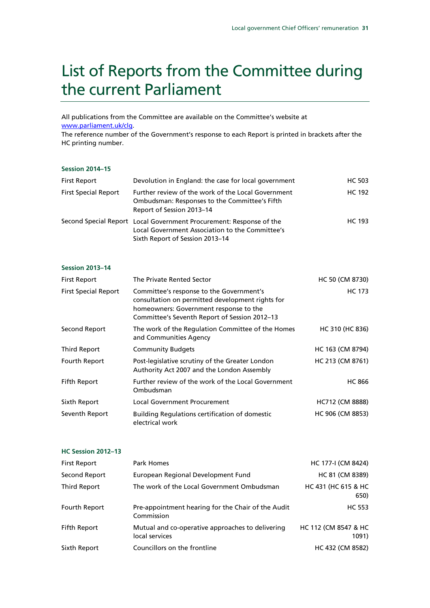## List of Reports from the Committee during the current Parliament

All publications from the Committee are available on the Committee's website at [www.parliament.uk/clg.](http://www.parliament.uk/clg)

The reference number of the Government's response to each Report is printed in brackets after the HC printing number.

#### **Session 2014–15**

| First Report                | Devolution in England: the case for local government                                                                                                      | <b>HC 503</b> |
|-----------------------------|-----------------------------------------------------------------------------------------------------------------------------------------------------------|---------------|
| <b>First Special Report</b> | Further review of the work of the Local Government<br>Ombudsman: Responses to the Committee's Fifth<br>Report of Session 2013-14                          | <b>HC 192</b> |
|                             | Second Special Report Local Government Procurement: Response of the<br>Local Government Association to the Committee's<br>Sixth Report of Session 2013-14 | HC 193        |

#### **Session 2013–14**

| <b>First Report</b>         | The Private Rented Sector                                                                                                                                                               | HC 50 (CM 8730)  |
|-----------------------------|-----------------------------------------------------------------------------------------------------------------------------------------------------------------------------------------|------------------|
| <b>First Special Report</b> | Committee's response to the Government's<br>consultation on permitted development rights for<br>homeowners: Government response to the<br>Committee's Seventh Report of Session 2012-13 | <b>HC 173</b>    |
| Second Report               | The work of the Regulation Committee of the Homes<br>and Communities Agency                                                                                                             | HC 310 (HC 836)  |
| <b>Third Report</b>         | <b>Community Budgets</b>                                                                                                                                                                | HC 163 (CM 8794) |
| Fourth Report               | Post-legislative scrutiny of the Greater London<br>Authority Act 2007 and the London Assembly                                                                                           | HC 213 (CM 8761) |
| Fifth Report                | Further review of the work of the Local Government<br>Ombudsman                                                                                                                         | <b>HC 866</b>    |
| Sixth Report                | <b>Local Government Procurement</b>                                                                                                                                                     | HC712 (CM 8888)  |
| Seventh Report              | <b>Building Regulations certification of domestic</b><br>electrical work                                                                                                                | HC 906 (CM 8853) |

#### **HC Session 2012–13**

| <b>First Report</b> | Park Homes                                                         | HC 177-I (CM 8424)            |
|---------------------|--------------------------------------------------------------------|-------------------------------|
| Second Report       | European Regional Development Fund                                 | HC 81 (CM 8389)               |
| Third Report        | The work of the Local Government Ombudsman                         | HC 431 (HC 615 & HC<br>650)   |
| Fourth Report       | Pre-appointment hearing for the Chair of the Audit<br>Commission   | <b>HC 553</b>                 |
| Fifth Report        | Mutual and co-operative approaches to delivering<br>local services | HC 112 (CM 8547 & HC<br>1091) |
| Sixth Report        | Councillors on the frontline                                       | HC 432 (CM 8582)              |